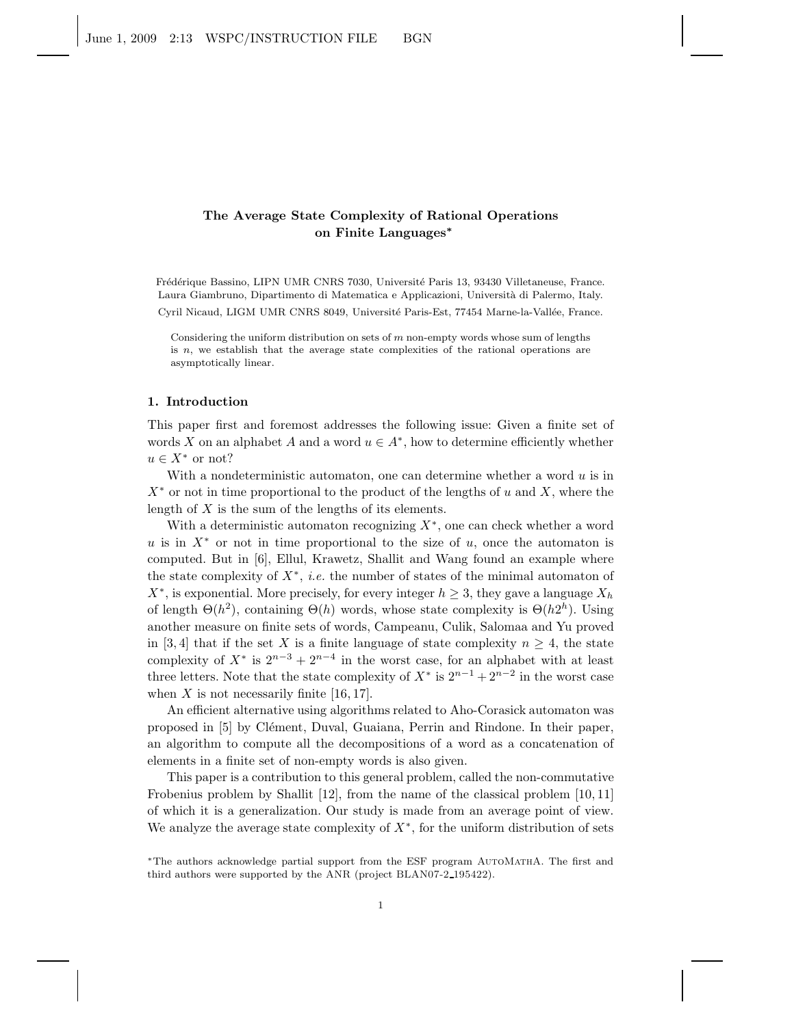# The Average State Complexity of Rational Operations on Finite Languages<sup>∗</sup>

Frédérique Bassino, LIPN UMR CNRS 7030, Université Paris 13, 93430 Villetaneuse, France. Laura Giambruno, Dipartimento di Matematica e Applicazioni, Universit`a di Palermo, Italy. Cyril Nicaud, LIGM UMR CNRS 8049, Université Paris-Est, 77454 Marne-la-Vallée, France.

Considering the uniform distribution on sets of  $m$  non-empty words whose sum of lengths is n, we establish that the average state complexities of the rational operations are asymptotically linear.

#### 1. Introduction

This paper first and foremost addresses the following issue: Given a finite set of words X on an alphabet A and a word  $u \in A^*$ , how to determine efficiently whether  $u \in X^*$  or not?

With a nondeterministic automaton, one can determine whether a word  $u$  is in  $X^*$  or not in time proportional to the product of the lengths of u and X, where the length of  $X$  is the sum of the lengths of its elements.

With a deterministic automaton recognizing  $X^*$ , one can check whether a word u is in  $X^*$  or not in time proportional to the size of u, once the automaton is computed. But in [6], Ellul, Krawetz, Shallit and Wang found an example where the state complexity of X<sup>∗</sup> , *i.e.* the number of states of the minimal automaton of  $X^*$ , is exponential. More precisely, for every integer  $h \geq 3$ , they gave a language  $X_h$ of length  $\Theta(h^2)$ , containing  $\Theta(h)$  words, whose state complexity is  $\Theta(h2^h)$ . Using another measure on finite sets of words, Campeanu, Culik, Salomaa and Yu proved in [3, 4] that if the set X is a finite language of state complexity  $n \geq 4$ , the state complexity of  $X^*$  is  $2^{n-3} + 2^{n-4}$  in the worst case, for an alphabet with at least three letters. Note that the state complexity of  $X^*$  is  $2^{n-1} + 2^{n-2}$  in the worst case when X is not necessarily finite  $[16, 17]$ .

An efficient alternative using algorithms related to Aho-Corasick automaton was proposed in [5] by Clément, Duval, Guaiana, Perrin and Rindone. In their paper, an algorithm to compute all the decompositions of a word as a concatenation of elements in a finite set of non-empty words is also given.

This paper is a contribution to this general problem, called the non-commutative Frobenius problem by Shallit [12], from the name of the classical problem [10, 11] of which it is a generalization. Our study is made from an average point of view. We analyze the average state complexity of  $X^*$ , for the uniform distribution of sets

<sup>∗</sup>The authors acknowledge partial support from the ESF program AutoMathA. The first and third authors were supported by the ANR (project BLAN07-2 195422).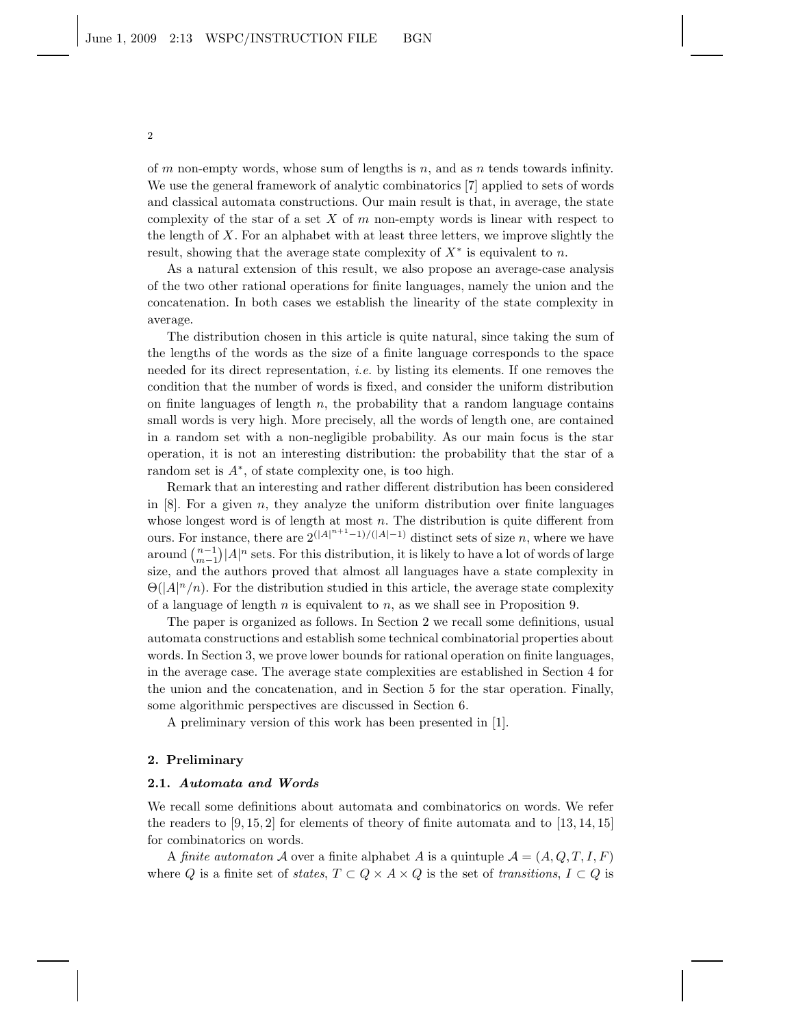of  $m$  non-empty words, whose sum of lengths is  $n$ , and as  $n$  tends towards infinity. We use the general framework of analytic combinatorics [7] applied to sets of words and classical automata constructions. Our main result is that, in average, the state complexity of the star of a set  $X$  of  $m$  non-empty words is linear with respect to the length of  $X$ . For an alphabet with at least three letters, we improve slightly the result, showing that the average state complexity of  $X^*$  is equivalent to n.

As a natural extension of this result, we also propose an average-case analysis of the two other rational operations for finite languages, namely the union and the concatenation. In both cases we establish the linearity of the state complexity in average.

The distribution chosen in this article is quite natural, since taking the sum of the lengths of the words as the size of a finite language corresponds to the space needed for its direct representation, *i.e.* by listing its elements. If one removes the condition that the number of words is fixed, and consider the uniform distribution on finite languages of length  $n$ , the probability that a random language contains small words is very high. More precisely, all the words of length one, are contained in a random set with a non-negligible probability. As our main focus is the star operation, it is not an interesting distribution: the probability that the star of a random set is A<sup>∗</sup> , of state complexity one, is too high.

Remark that an interesting and rather different distribution has been considered in  $[8]$ . For a given n, they analyze the uniform distribution over finite languages whose longest word is of length at most  $n$ . The distribution is quite different from ours. For instance, there are  $2^{(|A|^{n+1}-1)/(|A|-1)}$  distinct sets of size n, where we have around  $\binom{n-1}{m-1}$  | A|<sup>n</sup> sets. For this distribution, it is likely to have a lot of words of large size, and the authors proved that almost all languages have a state complexity in  $\Theta(|A|^n/n)$ . For the distribution studied in this article, the average state complexity of a language of length  $n$  is equivalent to  $n$ , as we shall see in Proposition 9.

The paper is organized as follows. In Section 2 we recall some definitions, usual automata constructions and establish some technical combinatorial properties about words. In Section 3, we prove lower bounds for rational operation on finite languages, in the average case. The average state complexities are established in Section 4 for the union and the concatenation, and in Section 5 for the star operation. Finally, some algorithmic perspectives are discussed in Section 6.

A preliminary version of this work has been presented in [1].

## 2. Preliminary

### 2.1. Automata and Words

We recall some definitions about automata and combinatorics on words. We refer the readers to  $(9, 15, 2)$  for elements of theory of finite automata and to  $(13, 14, 15)$ for combinatorics on words.

A *finite automaton* A over a finite alphabet A is a quintuple  $A = (A, Q, T, I, F)$ where Q is a finite set of *states*,  $T \subset Q \times A \times Q$  is the set of *transitions*,  $I \subset Q$  is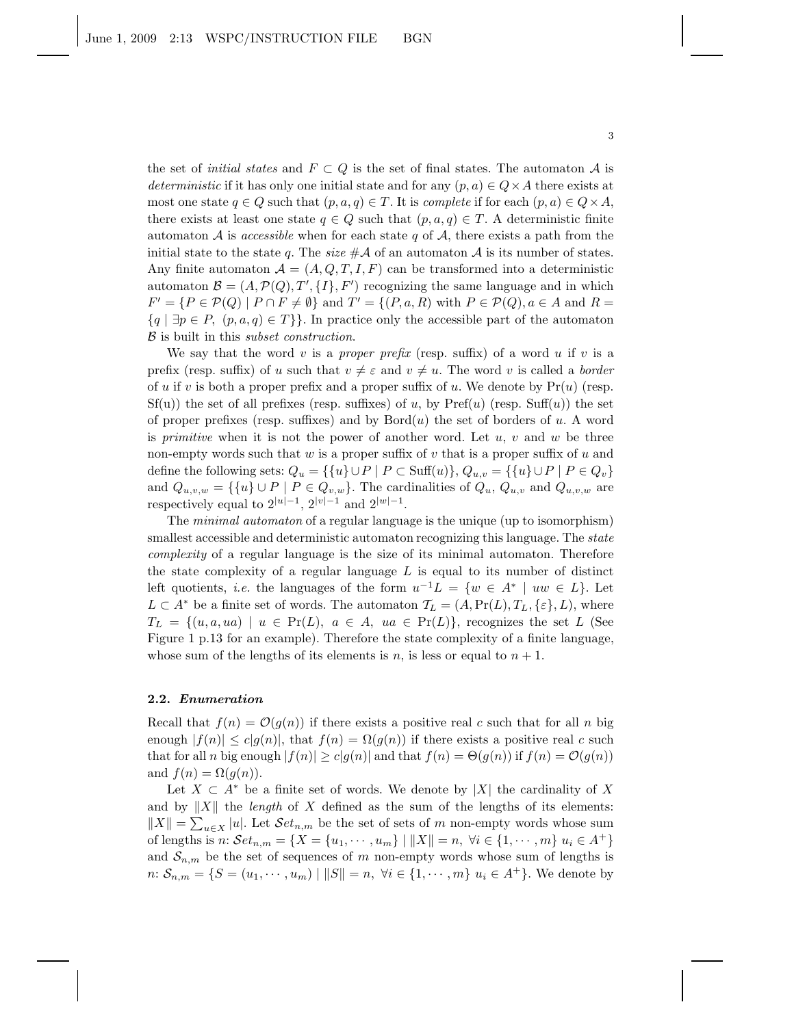the set of *initial states* and  $F \subset Q$  is the set of final states. The automaton A is *deterministic* if it has only one initial state and for any  $(p, a) \in Q \times A$  there exists at most one state  $q \in Q$  such that  $(p, a, q) \in T$ . It is *complete* if for each  $(p, a) \in Q \times A$ , there exists at least one state  $q \in Q$  such that  $(p, a, q) \in T$ . A deterministic finite automaton  $A$  is *accessible* when for each state q of  $A$ , there exists a path from the initial state to the state q. The *size*  $\#\mathcal{A}$  of an automaton  $\mathcal{A}$  is its number of states. Any finite automaton  $\mathcal{A} = (A, Q, T, I, F)$  can be transformed into a deterministic automaton  $\mathcal{B} = (A, \mathcal{P}(Q), T', \{I\}, F')$  recognizing the same language and in which  $F' = \{ P \in \mathcal{P}(Q) \mid P \cap F \neq \emptyset \}$  and  $T' = \{ (P, a, R) \text{ with } P \in \mathcal{P}(Q), a \in A \text{ and } R = \emptyset \}$  ${q \mid \exists p \in P, (p, a, q) \in T}$ . In practice only the accessible part of the automaton B is built in this *subset construction*.

We say that the word v is a *proper prefix* (resp. suffix) of a word u if v is a prefix (resp. suffix) of u such that  $v \neq \varepsilon$  and  $v \neq u$ . The word v is called a *border* of u if v is both a proper prefix and a proper suffix of u. We denote by  $Pr(u)$  (resp.  $Sf(u)$  the set of all prefixes (resp. suffixes) of u, by  $Pref(u)$  (resp.  $Suff(u)$ ) the set of proper prefixes (resp. suffixes) and by  $Bord(u)$  the set of borders of u. A word is *primitive* when it is not the power of another word. Let u, v and w be three non-empty words such that  $w$  is a proper suffix of  $v$  that is a proper suffix of  $u$  and define the following sets:  $Q_u = \{\{u\} \cup P \mid P \subset \text{Suff}(u)\}, Q_{u,v} = \{\{u\} \cup P \mid P \in Q_v\}$ and  $Q_{u,v,w} = \{ \{u\} \cup P \mid P \in Q_{v,w} \}.$  The cardinalities of  $Q_u, Q_{u,v}$  and  $Q_{u,v,w}$  are respectively equal to  $2^{|u|-1}$ ,  $2^{|v|-1}$  and  $2^{|w|-1}$ .

The *minimal automaton* of a regular language is the unique (up to isomorphism) smallest accessible and deterministic automaton recognizing this language. The *state complexity* of a regular language is the size of its minimal automaton. Therefore the state complexity of a regular language  $L$  is equal to its number of distinct left quotients, *i.e.* the languages of the form  $u^{-1}L = \{w \in A^* \mid uw \in L\}$ . Let  $L \subset A^*$  be a finite set of words. The automaton  $\mathcal{T}_L = (A, \Pr(L), T_L, \{\varepsilon\}, L)$ , where  $T_L = \{(u, a, ua) \mid u \in Pr(L), a \in A, ua \in Pr(L)\},$  recognizes the set L (See Figure 1 p.13 for an example). Therefore the state complexity of a finite language, whose sum of the lengths of its elements is n, is less or equal to  $n + 1$ .

#### 2.2. Enumeration

Recall that  $f(n) = \mathcal{O}(g(n))$  if there exists a positive real c such that for all n big enough  $|f(n)| \le c|g(n)|$ , that  $f(n) = \Omega(g(n))$  if there exists a positive real c such that for all n big enough  $|f(n)| \ge c|g(n)|$  and that  $f(n) = \Theta(g(n))$  if  $f(n) = \mathcal{O}(g(n))$ and  $f(n) = \Omega(q(n))$ .

Let  $X \subset A^*$  be a finite set of words. We denote by |X| the cardinality of X and by  $||X||$  the *length* of X defined as the sum of the lengths of its elements:  $||X|| = \sum_{u \in X} |u|$ . Let  $\mathcal{S}et_{n,m}$  be the set of sets of m non-empty words whose sum of lengths is n:  $Set_{n,m} = \{X = \{u_1, \dots, u_m\} \mid ||X|| = n, \forall i \in \{1, \dots, m\} \ u_i \in A^+\}$ and  $S_{n,m}$  be the set of sequences of m non-empty words whose sum of lengths is  $n: S_{n,m} = \{S = (u_1, \dots, u_m) \mid ||S|| = n, \forall i \in \{1, \dots, m\} \ u_i \in A^+\}.$  We denote by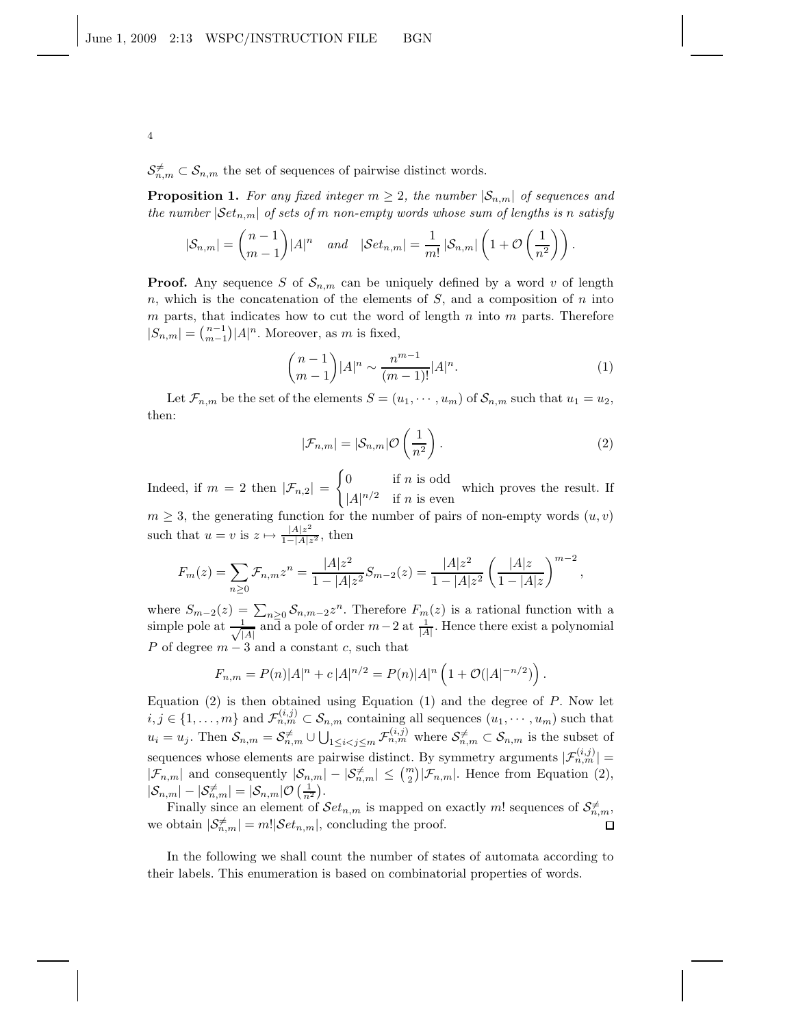$S_{n,m}^{\neq} \subset S_{n,m}$  the set of sequences of pairwise distinct words.

**Proposition 1.** For any fixed integer  $m \geq 2$ , the number  $|\mathcal{S}_{n,m}|$  of sequences and *the number*  $|\mathcal{S}et_{n,m}|$  *of sets of m non-empty words whose sum of lengths is n satisfy* 

$$
|\mathcal{S}_{n,m}| = \binom{n-1}{m-1} |A|^n \quad and \quad |\mathcal{S}et_{n,m}| = \frac{1}{m!} |\mathcal{S}_{n,m}| \left(1 + \mathcal{O}\left(\frac{1}{n^2}\right)\right).
$$

**Proof.** Any sequence S of  $S_{n,m}$  can be uniquely defined by a word v of length n, which is the concatenation of the elements of  $S$ , and a composition of n into  $m$  parts, that indicates how to cut the word of length  $n$  into  $m$  parts. Therefore  $|S_{n,m}| = \binom{n-1}{m-1} |A|^n$ . Moreover, as m is fixed,

$$
\binom{n-1}{m-1} |A|^n \sim \frac{n^{m-1}}{(m-1)!} |A|^n.
$$
 (1)

Let  $\mathcal{F}_{n,m}$  be the set of the elements  $S = (u_1, \dots, u_m)$  of  $\mathcal{S}_{n,m}$  such that  $u_1 = u_2$ , then:

$$
|\mathcal{F}_{n,m}| = |\mathcal{S}_{n,m}| \mathcal{O}\left(\frac{1}{n^2}\right). \tag{2}
$$

Indeed, if  $m = 2$  then  $|\mathcal{F}_{n,2}| =$  $\int 0$  if *n* is odd  $|A|^{n/2}$  if *n* is even which proves the result. If  $m \geq 3$ , the generating function for the number of pairs of non-empty words  $(u, v)$ such that  $u = v$  is  $z \mapsto \frac{|A|z^2}{1-|A|z}$  $\frac{|A|z}{1-|A|z^2}$ , then

$$
F_m(z) = \sum_{n\geq 0} \mathcal{F}_{n,m} z^n = \frac{|A| z^2}{1 - |A| z^2} S_{m-2}(z) = \frac{|A| z^2}{1 - |A| z^2} \left(\frac{|A| z}{1 - |A| z}\right)^{m-2},
$$

where  $S_{m-2}(z) = \sum_{n\geq 0} S_{n,m-2}z^n$ . Therefore  $F_m(z)$  is a rational function with a simple pole at  $\frac{1}{\sqrt{1}}$  $\frac{1}{|A|}$  and a pole of order  $m-2$  at  $\frac{1}{|A|}$ . Hence there exist a polynomial P of degree  $m-3$  and a constant c, such that

$$
F_{n,m} = P(n)|A|^n + c |A|^{n/2} = P(n)|A|^n \left(1 + \mathcal{O}(|A|^{-n/2})\right).
$$

Equation  $(2)$  is then obtained using Equation  $(1)$  and the degree of P. Now let  $i, j \in \{1, \ldots, m\}$  and  $\mathcal{F}_{n,m}^{(i,j)} \subset \mathcal{S}_{n,m}$  containing all sequences  $(u_1, \cdots, u_m)$  such that  $u_i = u_j$ . Then  $S_{n,m} = S_{n,m}^{\neq} \cup \bigcup_{1 \leq i < j \leq m} \mathcal{F}_{n,m}^{(i,j)}$  where  $S_{n,m}^{\neq} \subset S_{n,m}$  is the subset of sequences whose elements are pairwise distinct. By symmetry arguments  $|\mathcal{F}_{n,m}^{(i,j)}|$  =  $|\mathcal{F}_{n,m}|$  and consequently  $|\mathcal{S}_{n,m}| - |\mathcal{S}_{n,m}^{\neq}| \leq {m \choose 2} |\mathcal{F}_{n,m}|$ . Hence from Equation (2),  $|\mathcal{S}_{n,m}| - |\mathcal{S}_{n,m}^{\neq}| = |\mathcal{S}_{n,m}| \mathcal{O}\left(\frac{1}{n^2}\right).$ 

Finally since an element of  $\mathcal{S}et_{n,m}$  is mapped on exactly m! sequences of  $\mathcal{S}_{n,m}^{\neq}$ , we obtain  $|\mathcal{S}_{n,m}^{\neq}| = m! |\mathcal{S}et_{n,m}|$ , concluding the proof.  $\Box$ 

In the following we shall count the number of states of automata according to their labels. This enumeration is based on combinatorial properties of words.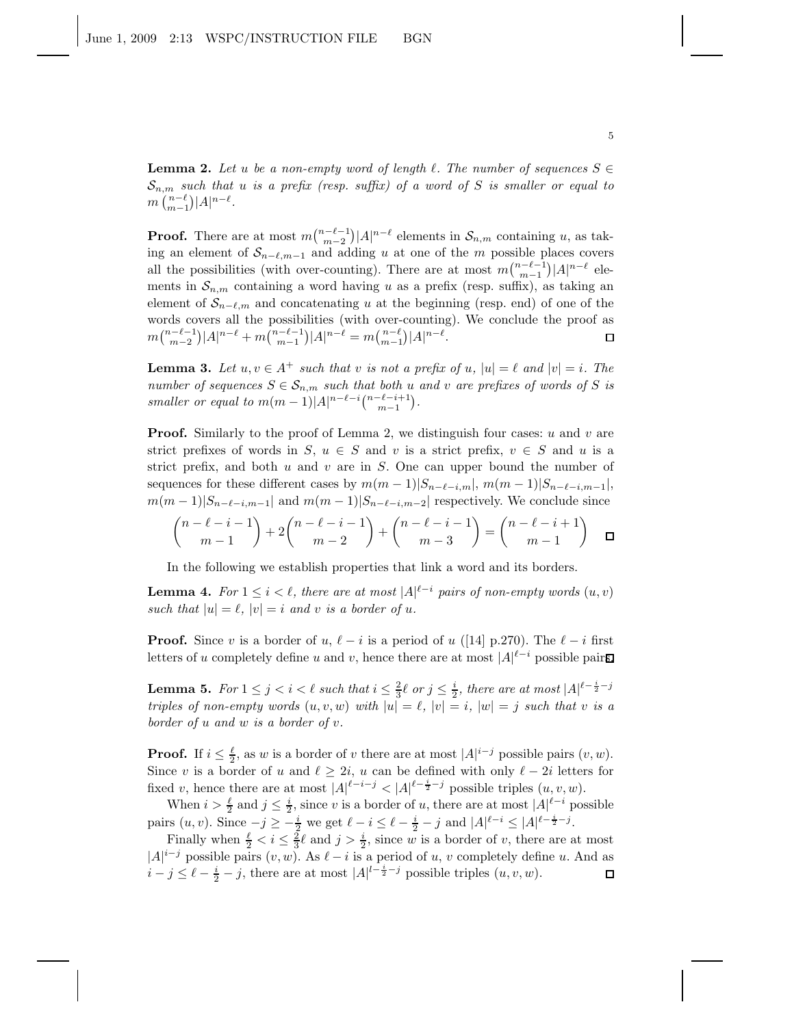**Lemma 2.** Let u be a non-empty word of length  $\ell$ . The number of sequences  $S \in$  $\mathcal{S}_{n,m}$  *such that u is a prefix (resp. suffix) of a word of* S *is smaller or equal to*  $m\binom{n-\ell}{m-1}|A|^{n-\ell}.$ 

**Proof.** There are at most  $m\binom{n-\ell-1}{m-2}|A|^{n-\ell}$  elements in  $\mathcal{S}_{n,m}$  containing u, as taking an element of  $S_{n-\ell,m-1}$  and adding u at one of the m possible places covers all the possibilities (with over-counting). There are at most  $m\binom{n-\ell-1}{m-1}|A|^{n-\ell}$  elements in  $\mathcal{S}_{n,m}$  containing a word having u as a prefix (resp. suffix), as taking an element of  $S_{n-\ell,m}$  and concatenating u at the beginning (resp. end) of one of the words covers all the possibilities (with over-counting). We conclude the proof as  $m\binom{n-\ell-1}{m-2}|A|^{n-\ell} + m\binom{n-\ell-1}{m-1}|A|^{n-\ell} = m\binom{n-\ell}{m-1}|A|^{n-\ell}.$  $\Box$ 

**Lemma 3.** Let  $u, v \in A^+$  such that v is not a prefix of  $u, |u| = \ell$  and  $|v| = i$ . The *number of sequences*  $S \in \mathcal{S}_{n,m}$  *such that both* u *and* v *are prefixes of words of* S *is smaller or equal to*  $m(m-1)|A|^{n-\ell-i} \binom{n-\ell-i+1}{m-1}$ .

**Proof.** Similarly to the proof of Lemma 2, we distinguish four cases:  $u$  and  $v$  are strict prefixes of words in S,  $u \in S$  and v is a strict prefix,  $v \in S$  and u is a strict prefix, and both  $u$  and  $v$  are in  $S$ . One can upper bound the number of sequences for these different cases by  $m(m-1)|S_{n-\ell-i,m}|$ ,  $m(m-1)|S_{n-\ell-i,m-1}|$ ,  $m(m-1)|S_{n-\ell-i,m-1}|$  and  $m(m-1)|S_{n-\ell-i,m-2}|$  respectively. We conclude since

$$
\binom{n-\ell-i-1}{m-1} + 2\binom{n-\ell-i-1}{m-2} + \binom{n-\ell-i-1}{m-3} = \binom{n-\ell-i+1}{m-1} \quad \Box
$$

In the following we establish properties that link a word and its borders.

**Lemma 4.** For  $1 \leq i < \ell$ , there are at most  $|A|^{l-i}$  pairs of non-empty words  $(u, v)$ *such that*  $|u| = \ell$ ,  $|v| = i$  *and v is a border of u*.

**Proof.** Since v is a border of u,  $\ell - i$  is a period of u ([14] p.270). The  $\ell - i$  first letters of u completely define u and v, hence there are at most  $|A|^{l-i}$  possible pairs.

**Lemma 5.** For  $1 \leq j < i < \ell$  such that  $i \leq \frac{2}{3}\ell$  or  $j \leq \frac{i}{2}$ , there are at most  $|A|^{l-\frac{i}{2}-j}$ *triples of non-empty words*  $(u, v, w)$  *with*  $|u| = \ell$ ,  $|v| = i$ ,  $|w| = j$  *such that* v *is a border of* u *and* w *is a border of* v*.*

**Proof.** If  $i \leq \frac{\ell}{2}$ , as w is a border of v there are at most  $|A|^{i-j}$  possible pairs  $(v, w)$ . Since v is a border of u and  $\ell \geq 2i$ , u can be defined with only  $\ell - 2i$  letters for fixed v, hence there are at most  $|A|^{\ell-i-j} < |A|^{\ell-\frac{i}{2}-j}$  possible triples  $(u, v, w)$ .

When  $i > \frac{\ell}{2}$  and  $j \leq \frac{i}{2}$ , since v is a border of u, there are at most  $|A|^{l-i}$  possible pairs  $(u, v)$ . Since  $-j \geq -\frac{i}{2}$  we get  $\ell - i \leq \ell - \frac{i}{2} - j$  and  $|A|^{\ell - i} \leq |A|^{\ell - \frac{i}{2} - j}$ .

Finally when  $\frac{\ell}{2} < i \leq \frac{2}{3}\ell$  and  $j > \frac{i}{2}$ , since w is a border of v, there are at most  $|A|^{i-j}$  possible pairs  $(v, w)$ . As  $\ell - i$  is a period of u, v completely define u. And as  $i - j \leq \ell - \frac{i}{2} - j$ , there are at most  $|A|^{l - \frac{i}{2} - j}$  possible triples  $(u, v, w)$ .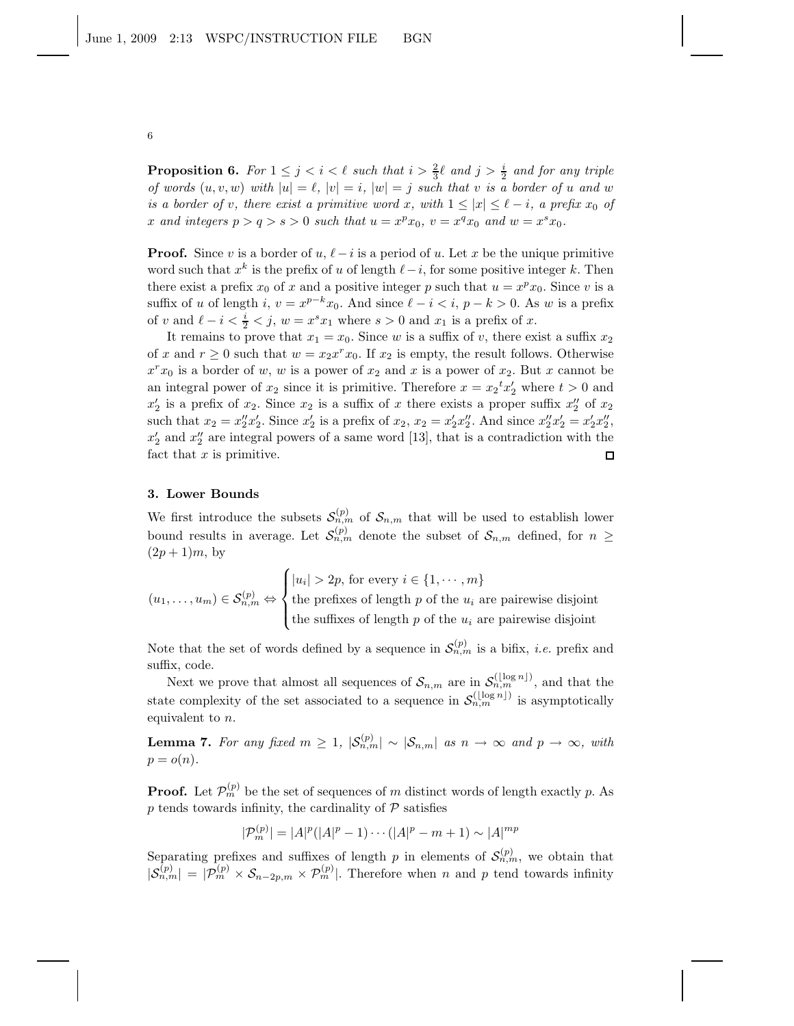**Proposition 6.** For  $1 \leq j \leq i \leq \ell$  such that  $i > \frac{2}{3}\ell$  and  $j > \frac{i}{2}$  and for any triple *of words*  $(u, v, w)$  *with*  $|u| = \ell$ ,  $|v| = i$ ,  $|w| = j$  *such that* v *is a border of* u *and* w *is a border of v, there exist a primitive word* x, with  $1 \leq |x| \leq \ell - i$ , a prefix  $x_0$  of x and integers  $p > q > s > 0$  such that  $u = x^p x_0$ ,  $v = x^q x_0$  and  $w = x^s x_0$ .

**Proof.** Since v is a border of u,  $\ell - i$  is a period of u. Let x be the unique primitive word such that  $x^k$  is the prefix of u of length  $\ell - i$ , for some positive integer k. Then there exist a prefix  $x_0$  of x and a positive integer p such that  $u = x^p x_0$ . Since v is a suffix of u of length i,  $v = x^{p-k}x_0$ . And since  $\ell - i < i$ ,  $p - k > 0$ . As w is a prefix of v and  $\ell - i < \frac{i}{2} < j$ ,  $w = x^s x_1$  where  $s > 0$  and  $x_1$  is a prefix of x.

It remains to prove that  $x_1 = x_0$ . Since w is a suffix of v, there exist a suffix  $x_2$ of x and  $r \geq 0$  such that  $w = x_2 x^r x_0$ . If  $x_2$  is empty, the result follows. Otherwise  $x^r x_0$  is a border of w, w is a power of  $x_2$  and x is a power of  $x_2$ . But x cannot be an integral power of  $x_2$  since it is primitive. Therefore  $x = x_2^t x_2^t$  where  $t > 0$  and  $x'_2$  is a prefix of  $x_2$ . Since  $x_2$  is a suffix of x there exists a proper suffix  $x''_2$  of  $x_2$ such that  $x_2 = x_2''x_2'$ . Since  $x_2'$  is a prefix of  $x_2$ ,  $x_2 = x_2'x_2''$ . And since  $x_2''x_2' = x_2'x_2''$ ,  $x'_2$  and  $x''_2$  are integral powers of a same word [13], that is a contradiction with the fact that  $x$  is primitive.  $\Box$ 

### 3. Lower Bounds

We first introduce the subsets  $\mathcal{S}_{n,m}^{(p)}$  of  $\mathcal{S}_{n,m}$  that will be used to establish lower bound results in average. Let  $S_{n,m}^{(p)}$  denote the subset of  $S_{n,m}$  defined, for  $n \geq$  $(2p+1)m$ , by

$$
(u_1, \ldots, u_m) \in \mathcal{S}_{n,m}^{(p)} \Leftrightarrow \begin{cases} |u_i| > 2p, \text{ for every } i \in \{1, \cdots, m\} \\ \text{the prefixes of length } p \text{ of the } u_i \text{ are pairwise disjoint} \\ \text{the suffixes of length } p \text{ of the } u_i \text{ are pairwise disjoint} \end{cases}
$$

Note that the set of words defined by a sequence in  $\mathcal{S}_{n,m}^{(p)}$  is a bifix, *i.e.* prefix and suffix, code.

Next we prove that almost all sequences of  $\mathcal{S}_{n,m}$  are in  $\mathcal{S}_{n,m}^{(\lfloor \log n \rfloor)}$ , and that the state complexity of the set associated to a sequence in  $\mathcal{S}_{n,m}^{(\lfloor \log n \rfloor)}$  is asymptotically equivalent to n.

**Lemma 7.** For any fixed  $m \geq 1$ ,  $|\mathcal{S}_{n,m}^{(p)}| \sim |\mathcal{S}_{n,m}|$  as  $n \to \infty$  and  $p \to \infty$ , with  $p = o(n)$ .

**Proof.** Let  $\mathcal{P}_m^{(p)}$  be the set of sequences of m distinct words of length exactly p. As  $p$  tends towards infinity, the cardinality of  ${\mathcal P}$  satisfies

$$
|\mathcal{P}_m^{(p)}| = |A|^p (|A|^p - 1) \cdots (|A|^p - m + 1) \sim |A|^{mp}
$$

Separating prefixes and suffixes of length p in elements of  $\mathcal{S}_{n,m}^{(p)}$ , we obtain that  $|\mathcal{S}_{n,m}^{(p)}| = |\mathcal{P}_m^{(p)} \times \mathcal{S}_{n-2p,m} \times \mathcal{P}_m^{(p)}|$ . Therefore when n and p tend towards infinity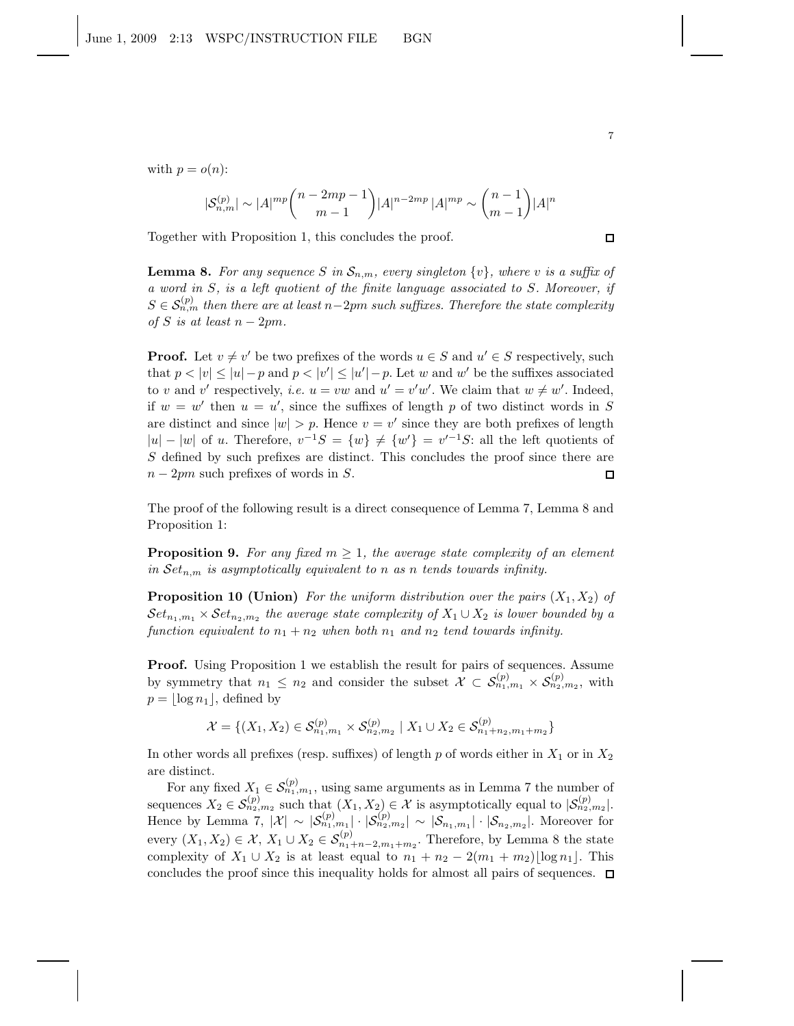with  $p = o(n)$ :

$$
|\mathcal{S}_{n,m}^{(p)}| \sim |A|^{mp} \binom{n-2mp-1}{m-1} |A|^{n-2mp} |A|^{mp} \sim \binom{n-1}{m-1} |A|^{n}
$$

Together with Proposition 1, this concludes the proof.

**Lemma 8.** For any sequence S in  $\mathcal{S}_{n,m}$ , every singleton  $\{v\}$ , where v is a suffix of *a word in* S*, is a left quotient of the finite language associated to* S*. Moreover, if*  $S \in \mathcal{S}_{n,m}^{(p)}$  then there are at least n−2pm such suffixes. Therefore the state complexity *of*  $S$  *is at least*  $n - 2pm$ .

**Proof.** Let  $v \neq v'$  be two prefixes of the words  $u \in S$  and  $u' \in S$  respectively, such that  $p < |v| \le |u| - p$  and  $p < |v'| \le |u'| - p$ . Let w and w' be the suffixes associated to v and v' respectively, *i.e.*  $u = vw$  and  $u' = v'w'$ . We claim that  $w \neq w'$ . Indeed, if  $w = w'$  then  $u = u'$ , since the suffixes of length p of two distinct words in S are distinct and since  $|w| > p$ . Hence  $v = v'$  since they are both prefixes of length  $|u| - |w|$  of u. Therefore,  $v^{-1}S = \{w\} \neq \{w'\} = v'^{-1}S$ : all the left quotients of S defined by such prefixes are distinct. This concludes the proof since there are  $n-2pm$  such prefixes of words in S.  $\Box$ 

The proof of the following result is a direct consequence of Lemma 7, Lemma 8 and Proposition 1:

**Proposition 9.** For any fixed  $m \geq 1$ , the average state complexity of an element *in*  $Set_{n,m}$  *is asymptotically equivalent to n as n tends towards infinity.* 

**Proposition 10 (Union)** *For the uniform distribution over the pairs*  $(X_1, X_2)$  *of*  $\mathcal{S}et_{n_1,m_1}\times \mathcal{S}et_{n_2,m_2}$  the average state complexity of  $X_1\cup X_2$  is lower bounded by a *function equivalent to*  $n_1 + n_2$  *when both*  $n_1$  *and*  $n_2$  *tend towards infinity.* 

Proof. Using Proposition 1 we establish the result for pairs of sequences. Assume by symmetry that  $n_1 \leq n_2$  and consider the subset  $\mathcal{X} \subset \mathcal{S}_{n_1,m_1}^{(p)} \times \mathcal{S}_{n_2,m_2}^{(p)}$ , with  $p = |\log n_1|$ , defined by

$$
\mathcal{X} = \{(X_1, X_2) \in \mathcal{S}_{n_1, m_1}^{(p)} \times \mathcal{S}_{n_2, m_2}^{(p)} \mid X_1 \cup X_2 \in \mathcal{S}_{n_1 + n_2, m_1 + m_2}^{(p)}\}
$$

In other words all prefixes (resp. suffixes) of length p of words either in  $X_1$  or in  $X_2$ are distinct.

For any fixed  $X_1 \in \mathcal{S}_{n_1,m_1}^{(p)}$ , using same arguments as in Lemma 7 the number of sequences  $X_2 \in \mathcal{S}_{n_2,m_2}^{(p)}$  such that  $(X_1, X_2) \in \mathcal{X}$  is asymptotically equal to  $|\mathcal{S}_{n_2,m_2}^{(p)}|$ . Hence by Lemma 7,  $|\mathcal{X}| \sim |\mathcal{S}_{n_1,m_1}^{(p)}| \cdot |\mathcal{S}_{n_2,m_2}^{(p)}| \sim |\mathcal{S}_{n_1,m_1}| \cdot |\mathcal{S}_{n_2,m_2}|$ . Moreover for every  $(X_1, X_2) \in \mathcal{X}, X_1 \cup X_2 \in \mathcal{S}_{n_1+n-2,m_1+m_2}^{(p)}$ . Therefore, by Lemma 8 the state complexity of  $X_1 \cup X_2$  is at least equal to  $n_1 + n_2 - 2(m_1 + m_2) \log n_1$ . This concludes the proof since this inequality holds for almost all pairs of sequences.  $\Box$ 

7

 $\Box$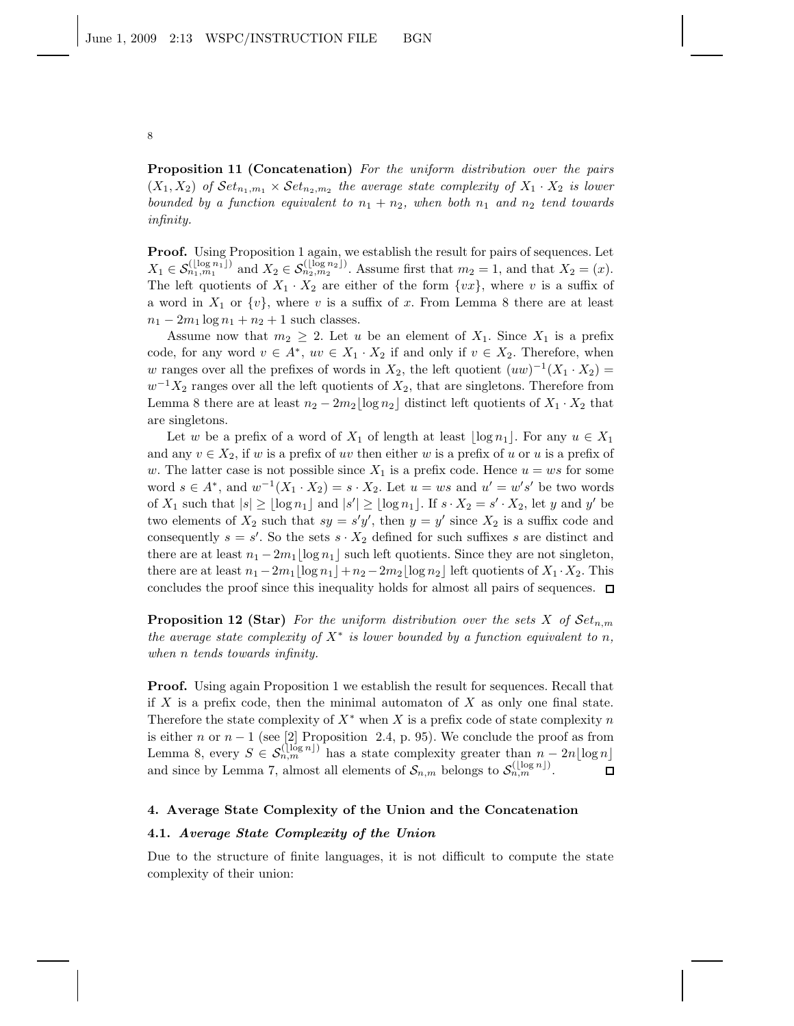Proposition 11 (Concatenation) *For the uniform distribution over the pairs*  $(X_1, X_2)$  of  $\mathcal{S}et_{n_1,m_1} \times \mathcal{S}et_{n_2,m_2}$  the average state complexity of  $X_1 \cdot X_2$  is lower *bounded by a function equivalent to*  $n_1 + n_2$ *, when both*  $n_1$  *and*  $n_2$  *tend towards infinity.*

Proof. Using Proposition 1 again, we establish the result for pairs of sequences. Let  $X_1 \in \mathcal{S}_{n_1,m_1}^{(\lfloor \log n_1 \rfloor)}$  and  $X_2 \in \mathcal{S}_{n_2,m_2}^{(\lfloor \log n_2 \rfloor)}$ . Assume first that  $m_2 = 1$ , and that  $X_2 = (x)$ . The left quotients of  $X_1 \cdot X_2$  are either of the form  $\{vx\}$ , where v is a suffix of a word in  $X_1$  or  $\{v\}$ , where v is a suffix of x. From Lemma 8 there are at least  $n_1 - 2m_1 \log n_1 + n_2 + 1$  such classes.

Assume now that  $m_2 \geq 2$ . Let u be an element of  $X_1$ . Since  $X_1$  is a prefix code, for any word  $v \in A^*$ ,  $uv \in X_1 \cdot X_2$  if and only if  $v \in X_2$ . Therefore, when w ranges over all the prefixes of words in  $X_2$ , the left quotient  $(uw)^{-1}(X_1 \cdot X_2) =$  $w^{-1}X_2$  ranges over all the left quotients of  $X_2$ , that are singletons. Therefore from Lemma 8 there are at least  $n_2 - 2m_2 \lfloor \log n_2 \rfloor$  distinct left quotients of  $X_1 \cdot X_2$  that are singletons.

Let w be a prefix of a word of  $X_1$  of length at least  $|\log n_1|$ . For any  $u \in X_1$ and any  $v \in X_2$ , if w is a prefix of uv then either w is a prefix of u or u is a prefix of w. The latter case is not possible since  $X_1$  is a prefix code. Hence  $u = ws$  for some word  $s \in A^*$ , and  $w^{-1}(X_1 \cdot X_2) = s \cdot X_2$ . Let  $u = ws$  and  $u' = w's'$  be two words of  $X_1$  such that  $|s| \geq \lfloor \log n_1 \rfloor$  and  $|s'| \geq \lfloor \log n_1 \rfloor$ . If  $s \cdot X_2 = s' \cdot X_2$ , let y and y' be two elements of  $X_2$  such that  $sy = s'y'$ , then  $y = y'$  since  $X_2$  is a suffix code and consequently  $s = s'$ . So the sets  $s \cdot X_2$  defined for such suffixes s are distinct and there are at least  $n_1 - 2m_1 \lfloor \log n_1 \rfloor$  such left quotients. Since they are not singleton, there are at least  $n_1 - 2m_1 \log n_1 + n_2 - 2m_2 \log n_2$  left quotients of  $X_1 \cdot X_2$ . This concludes the proof since this inequality holds for almost all pairs of sequences.  $\Box$ 

**Proposition 12 (Star)** *For the uniform distribution over the sets*  $X$  *of*  $Set_{n,m}$ *the average state complexity of*  $X^*$  *is lower bounded by a function equivalent to* n, *when* n *tends towards infinity.*

Proof. Using again Proposition 1 we establish the result for sequences. Recall that if  $X$  is a prefix code, then the minimal automaton of  $X$  as only one final state. Therefore the state complexity of  $X^*$  when X is a prefix code of state complexity n is either n or  $n-1$  (see [2] Proposition 2.4, p. 95). We conclude the proof as from Lemma 8, every  $S \in \mathcal{S}_{n,m}^{(\lfloor \log n \rfloor)}$  has a state complexity greater than  $n-2n\lfloor \log n \rfloor$ and since by Lemma 7, almost all elements of  $S_{n,m}$  belongs to  $S_{n,m}^{(\lfloor \log n \rfloor)}$ .

#### 4. Average State Complexity of the Union and the Concatenation

## 4.1. Average State Complexity of the Union

Due to the structure of finite languages, it is not difficult to compute the state complexity of their union: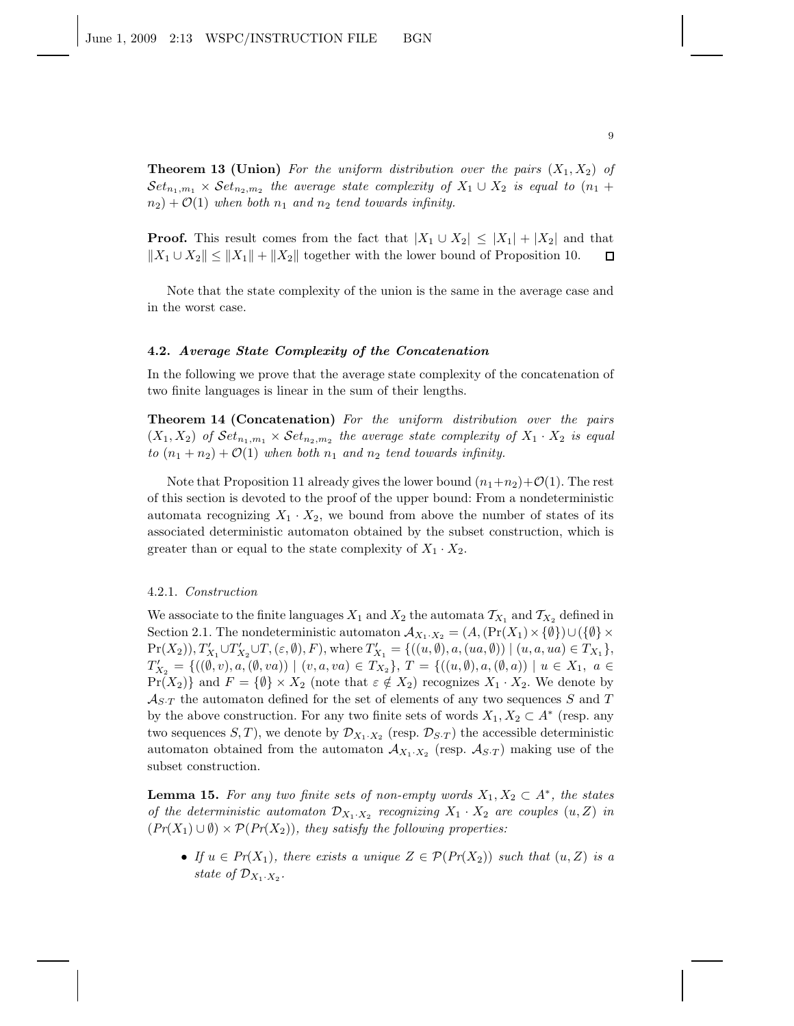**Theorem 13 (Union)** For the uniform distribution over the pairs  $(X_1, X_2)$  of  $\mathcal{S}et_{n_1,m_1}\times \mathcal{S}et_{n_2,m_2}$  the average state complexity of  $X_1\cup X_2$  is equal to  $(n_1+1)$  $n_2$ ) +  $\mathcal{O}(1)$  *when both*  $n_1$  *and*  $n_2$  *tend towards infinity.* 

**Proof.** This result comes from the fact that  $|X_1 \cup X_2| \leq |X_1| + |X_2|$  and that  $||X_1 \cup X_2|| \le ||X_1|| + ||X_2||$  together with the lower bound of Proposition 10.  $\Box$ 

Note that the state complexity of the union is the same in the average case and in the worst case.

#### 4.2. Average State Complexity of the Concatenation

In the following we prove that the average state complexity of the concatenation of two finite languages is linear in the sum of their lengths.

Theorem 14 (Concatenation) *For the uniform distribution over the pairs*  $(X_1, X_2)$  of  $\mathcal{S}et_{n_1,m_1} \times \mathcal{S}et_{n_2,m_2}$  the average state complexity of  $X_1 \cdot X_2$  is equal *to*  $(n_1 + n_2) + \mathcal{O}(1)$  *when both*  $n_1$  *and*  $n_2$  *tend towards infinity.* 

Note that Proposition 11 already gives the lower bound  $(n_1+n_2)+\mathcal{O}(1)$ . The rest of this section is devoted to the proof of the upper bound: From a nondeterministic automata recognizing  $X_1 \cdot X_2$ , we bound from above the number of states of its associated deterministic automaton obtained by the subset construction, which is greater than or equal to the state complexity of  $X_1 \cdot X_2$ .

### 4.2.1. *Construction*

We associate to the finite languages  $X_1$  and  $X_2$  the automata  $\mathcal{T}_{X_1}$  and  $\mathcal{T}_{X_2}$  defined in Section 2.1. The nondeterministic automaton  $\mathcal{A}_{X_1\cdot X_2} = (A, (\Pr(X_1) \times \{\emptyset\}) \cup (\{\emptyset\} \times$  $Pr(X_2)$ ),  $T'_{X_1} \cup T'_{X_2} \cup T$ ,  $(\varepsilon, \emptyset)$ ,  $F$ ), where  $T'_{X_1} = \{((u, \emptyset), a, (ua, \emptyset)) \mid (u, a, ua) \in T_{X_1}\},$  $T'_{X_2} = \{((\emptyset, v), a, (\emptyset, va)) \mid (v, a, va) \in T_{X_2}\}, T = \{((u, \emptyset), a, (\emptyset, a)) \mid u \in X_1, a \in$  $Pr(X_2)$  and  $F = \{\emptyset\} \times X_2$  (note that  $\varepsilon \notin X_2$ ) recognizes  $X_1 \cdot X_2$ . We denote by  $\mathcal{A}_{S,T}$  the automaton defined for the set of elements of any two sequences S and T by the above construction. For any two finite sets of words  $X_1, X_2 \subset A^*$  (resp. any two sequences  $S, T$ ), we denote by  $\mathcal{D}_{X_1 \cdot X_2}$  (resp.  $\mathcal{D}_{S \cdot T}$ ) the accessible deterministic automaton obtained from the automaton  $A_{X_1 \cdot X_2}$  (resp.  $A_{S \cdot T}$ ) making use of the subset construction.

**Lemma 15.** For any two finite sets of non-empty words  $X_1, X_2 \subset A^*$ , the states *of the deterministic automaton*  $\mathcal{D}_{X_1 \cdot X_2}$  recognizing  $X_1 \cdot X_2$  are couples  $(u, Z)$  in  $(Pr(X_1) \cup \emptyset) \times P(Pr(X_2))$ , they satisfy the following properties:

• *If*  $u \in Pr(X_1)$ , there exists a unique  $Z \in P(Pr(X_2))$  *such that*  $(u, Z)$  *is a* state of  $\mathcal{D}_{X_1 \cdot X_2}$ .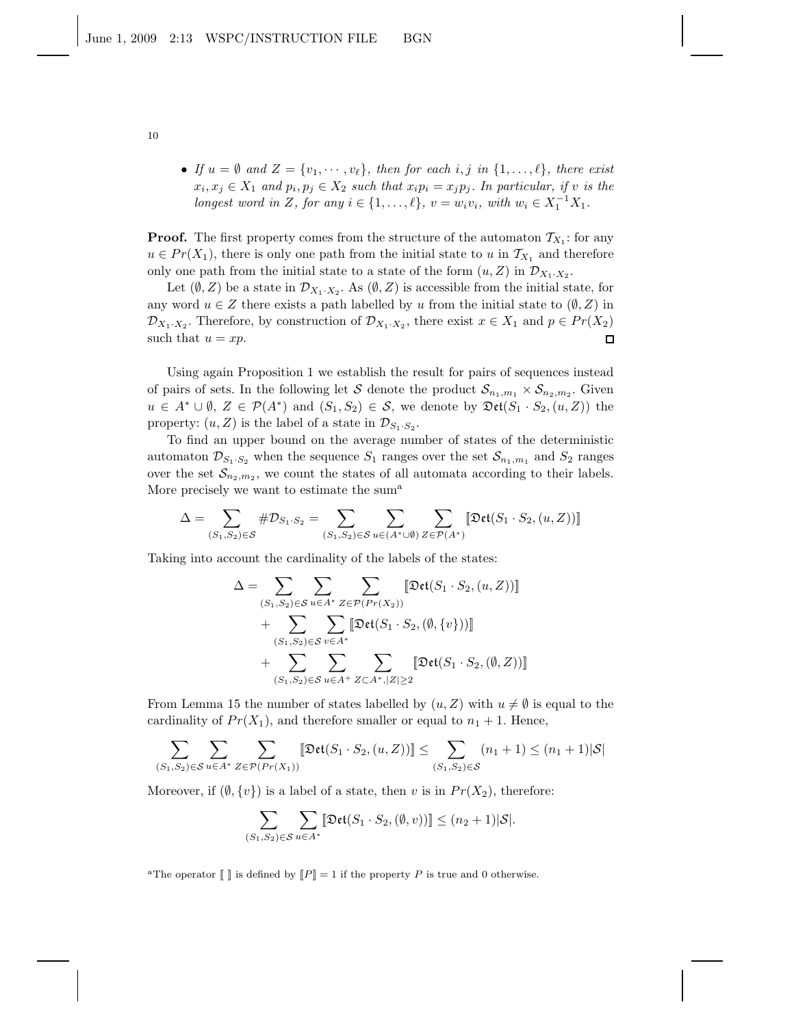• *If*  $u = \emptyset$  *and*  $Z = \{v_1, \dots, v_\ell\}$ *, then for each i, j in*  $\{1, \dots, \ell\}$ *, there exist*  $x_i, x_j \in X_1$  and  $p_i, p_j \in X_2$  such that  $x_i p_i = x_j p_j$ . In particular, if v is the *longest word in* Z, for any  $i \in \{1, ..., \ell\}$ ,  $v = w_i v_i$ , with  $w_i \in X_1^{-1} X_1$ .

**Proof.** The first property comes from the structure of the automaton  $\mathcal{T}_{X_1}$ : for any  $u \in Pr(X_1)$ , there is only one path from the initial state to u in  $\mathcal{T}_{X_1}$  and therefore only one path from the initial state to a state of the form  $(u, Z)$  in  $\mathcal{D}_{X_1 \cdot X_2}$ .

Let  $(\emptyset, Z)$  be a state in  $\mathcal{D}_{X_1 \cdot X_2}$ . As  $(\emptyset, Z)$  is accessible from the initial state, for any word  $u \in Z$  there exists a path labelled by u from the initial state to  $(\emptyset, Z)$  in  $\mathcal{D}_{X_1 \cdot X_2}$ . Therefore, by construction of  $\mathcal{D}_{X_1 \cdot X_2}$ , there exist  $x \in X_1$  and  $p \in Pr(X_2)$ such that  $u = xp$ .  $\Box$ 

Using again Proposition 1 we establish the result for pairs of sequences instead of pairs of sets. In the following let S denote the product  $S_{n_1,m_1} \times S_{n_2,m_2}$ . Given  $u \in A^* \cup \emptyset$ ,  $Z \in \mathcal{P}(A^*)$  and  $(S_1, S_2) \in \mathcal{S}$ , we denote by  $\mathfrak{Det}(S_1 \cdot S_2, (u, Z))$  the property:  $(u, Z)$  is the label of a state in  $\mathcal{D}_{S_1 \cdot S_2}$ .

To find an upper bound on the average number of states of the deterministic automaton  $\mathcal{D}_{S_1 \cdot S_2}$  when the sequence  $S_1$  ranges over the set  $\mathcal{S}_{n_1,m_1}$  and  $S_2$  ranges over the set  $\mathcal{S}_{n_2,m_2}$ , we count the states of all automata according to their labels. More precisely we want to estimate the sum<sup>a</sup>

$$
\Delta = \sum_{(S_1,S_2) \in \mathcal{S}} \# \mathcal{D}_{S_1 \cdot S_2} = \sum_{(S_1,S_2) \in \mathcal{S}} \sum_{u \in (A^* \cup \emptyset)} \sum_{Z \in \mathcal{P}(A^*)} \llbracket \mathfrak{Det}(S_1 \cdot S_2, (u,Z)) \rrbracket
$$

Taking into account the cardinality of the labels of the states:

$$
\Delta = \sum_{(S_1, S_2) \in S} \sum_{u \in A^*} \sum_{Z \in \mathcal{P}(Pr(X_2))} [\mathfrak{Det}(S_1 \cdot S_2, (u, Z))]
$$
  
+ 
$$
\sum_{(S_1, S_2) \in S} \sum_{v \in A^*} [\mathfrak{Det}(S_1 \cdot S_2, (\emptyset, \{v\}))]
$$
  
+ 
$$
\sum_{(S_1, S_2) \in S} \sum_{u \in A^+} \sum_{Z \subset A^*, |Z| \ge 2} [\mathfrak{Det}(S_1 \cdot S_2, (\emptyset, Z))]
$$

From Lemma 15 the number of states labelled by  $(u, Z)$  with  $u \neq \emptyset$  is equal to the cardinality of  $Pr(X_1)$ , and therefore smaller or equal to  $n_1 + 1$ . Hence,

$$
\sum_{(S_1, S_2) \in \mathcal{S}} \sum_{u \in A^*} \sum_{Z \in \mathcal{P}(Pr(X_1))} \left[ \mathfrak{Det}(S_1 \cdot S_2, (u, Z)) \right] \le \sum_{(S_1, S_2) \in \mathcal{S}} (n_1 + 1) \le (n_1 + 1)|\mathcal{S}|
$$

Moreover, if  $(\emptyset, \{v\})$  is a label of a state, then v is in  $Pr(X_2)$ , therefore:

$$
\sum_{(S_1, S_2) \in \mathcal{S}} \sum_{u \in A^*} \llbracket \mathfrak{Det}(S_1 \cdot S_2, (\emptyset, v)) \rrbracket \le (n_2 + 1) |\mathcal{S}|.
$$

<sup>a</sup>The operator  $\llbracket \cdot \rrbracket$  is defined by  $\llbracket P \rrbracket = 1$  if the property P is true and 0 otherwise.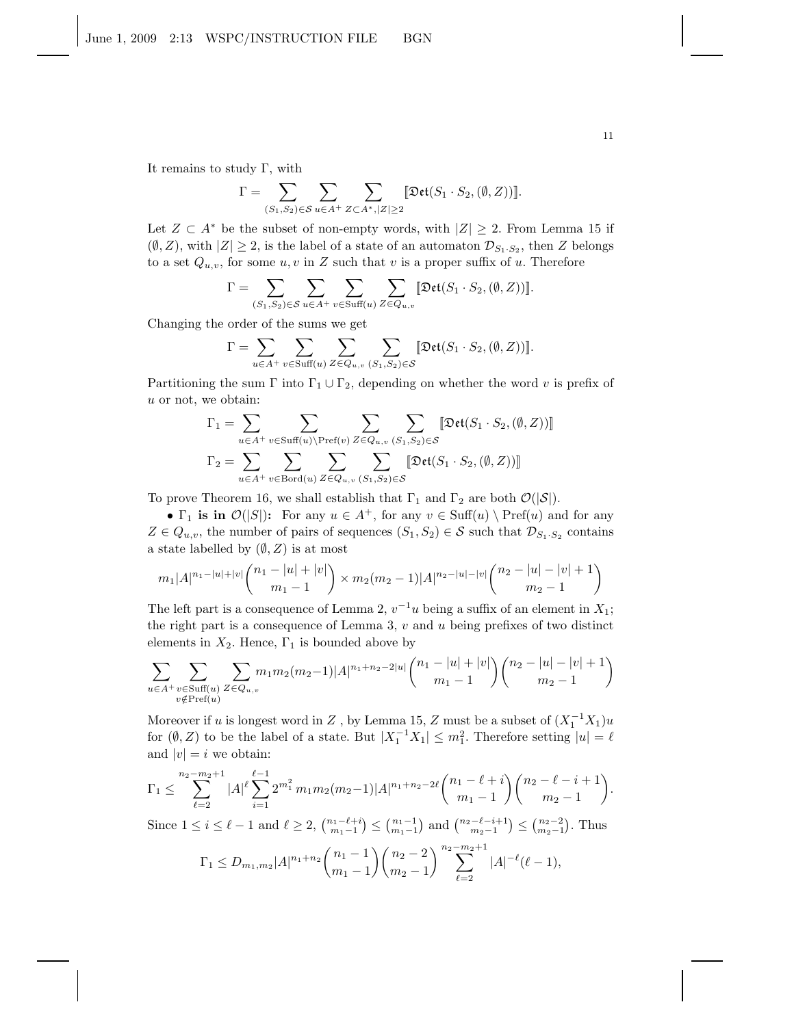It remains to study  $\Gamma$ , with

$$
\Gamma = \sum_{(S_1, S_2) \in \mathcal{S}} \sum_{u \in A^+} \sum_{Z \subset A^*, |Z| \ge 2} [\mathfrak{Det}(S_1 \cdot S_2, (\emptyset, Z))].
$$

Let  $Z \subset A^*$  be the subset of non-empty words, with  $|Z| \geq 2$ . From Lemma 15 if  $(\emptyset, Z)$ , with  $|Z| \geq 2$ , is the label of a state of an automaton  $\mathcal{D}_{S_1 \cdot S_2}$ , then Z belongs to a set  $Q_{u,v}$ , for some  $u, v$  in Z such that v is a proper suffix of u. Therefore

$$
\Gamma = \sum_{(S_1, S_2) \in \mathcal{S}} \sum_{u \in A^+} \sum_{v \in \text{Suff}(u)} \sum_{Z \in Q_{u,v}} [\text{Det}(S_1 \cdot S_2, (\emptyset, Z))].
$$

Changing the order of the sums we get

$$
\Gamma = \sum_{u \in A^+} \sum_{v \in \text{Suff}(u)} \sum_{Z \in Q_{u,v}} \sum_{(S_1, S_2) \in S} [\text{Det}(S_1 \cdot S_2, (\emptyset, Z))].
$$

Partitioning the sum  $\Gamma$  into  $\Gamma_1 \cup \Gamma_2$ , depending on whether the word v is prefix of u or not, we obtain:

$$
\Gamma_1 = \sum_{u \in A^+} \sum_{v \in \text{Suff}(u) \backslash \text{Pref}(v)} \sum_{Z \in Q_{u,v}} \sum_{(S_1, S_2) \in S} [\text{Det}(S_1 \cdot S_2, (\emptyset, Z))]
$$

$$
\Gamma_2 = \sum_{u \in A^+} \sum_{v \in \text{Bord}(u)} \sum_{Z \in Q_{u,v}} \sum_{(S_1, S_2) \in S} [\text{Det}(S_1 \cdot S_2, (\emptyset, Z))]
$$

To prove Theorem 16, we shall establish that  $\Gamma_1$  and  $\Gamma_2$  are both  $\mathcal{O}(|\mathcal{S}|)$ .

•  $\Gamma_1$  is in  $\mathcal{O}(|S|)$ : For any  $u \in A^+$ , for any  $v \in \text{Suff}(u) \setminus \text{Pref}(u)$  and for any  $Z \in Q_{u,v}$ , the number of pairs of sequences  $(S_1, S_2) \in \mathcal{S}$  such that  $\mathcal{D}_{S_1 \cdot S_2}$  contains a state labelled by  $(\emptyset, Z)$  is at most

$$
m_1|A|^{n_1-|u|+|v|}\binom{n_1-|u|+|v|}{m_1-1}\times m_2(m_2-1)|A|^{n_2-|u|-|v|}\binom{n_2-|u|-|v|+1}{m_2-1}
$$

The left part is a consequence of Lemma 2,  $v^{-1}u$  being a suffix of an element in  $X_1$ ; the right part is a consequence of Lemma 3,  $v$  and  $u$  being prefixes of two distinct elements in  $X_2$ . Hence,  $\Gamma_1$  is bounded above by

$$
\sum_{u \in A^+} \sum_{\substack{v \in \text{Suff}(u) \\ v \notin \text{Pref}(u)}} \sum_{Z \in Q_{u,v}} m_1 m_2(m_2 - 1)|A|^{n_1 + n_2 - 2|u|} \binom{n_1 - |u| + |v|}{m_1 - 1} \binom{n_2 - |u| - |v| + 1}{m_2 - 1}
$$

Moreover if u is longest word in Z, by Lemma 15, Z must be a subset of  $(X_1^{-1}X_1)u$ for  $(\emptyset, Z)$  to be the label of a state. But  $|X_1^{-1}X_1| \leq m_1^2$ . Therefore setting  $|u| = \ell$ and  $|v| = i$  we obtain:

$$
\Gamma_1 \leq \sum_{\ell=2}^{n_2 - m_2 + 1} |A|^{\ell} \sum_{i=1}^{\ell-1} 2^{m_1^2} m_1 m_2(m_2 - 1)|A|^{n_1 + n_2 - 2\ell} {n_1 - \ell + i \choose m_1 - 1} {n_2 - \ell - i + 1 \choose m_2 - 1}.
$$

Since  $1 \leq i \leq \ell - 1$  and  $\ell \geq 2$ ,  $\binom{n_1 - \ell + i}{m_1 - 1} \leq \binom{n_1 - 1}{m_1 - 1}$  and  $\binom{n_2 - \ell - i + 1}{m_2 - 1} \leq \binom{n_2 - 2}{m_2 - 1}$ . Thus

$$
\Gamma_1 \le D_{m_1,m_2} |A|^{n_1+n_2} {n_1-1 \choose m_1-1} {n_2-2 \choose m_2-1} \sum_{\ell=2}^{n_2-m_2+1} |A|^{-\ell} (\ell-1),
$$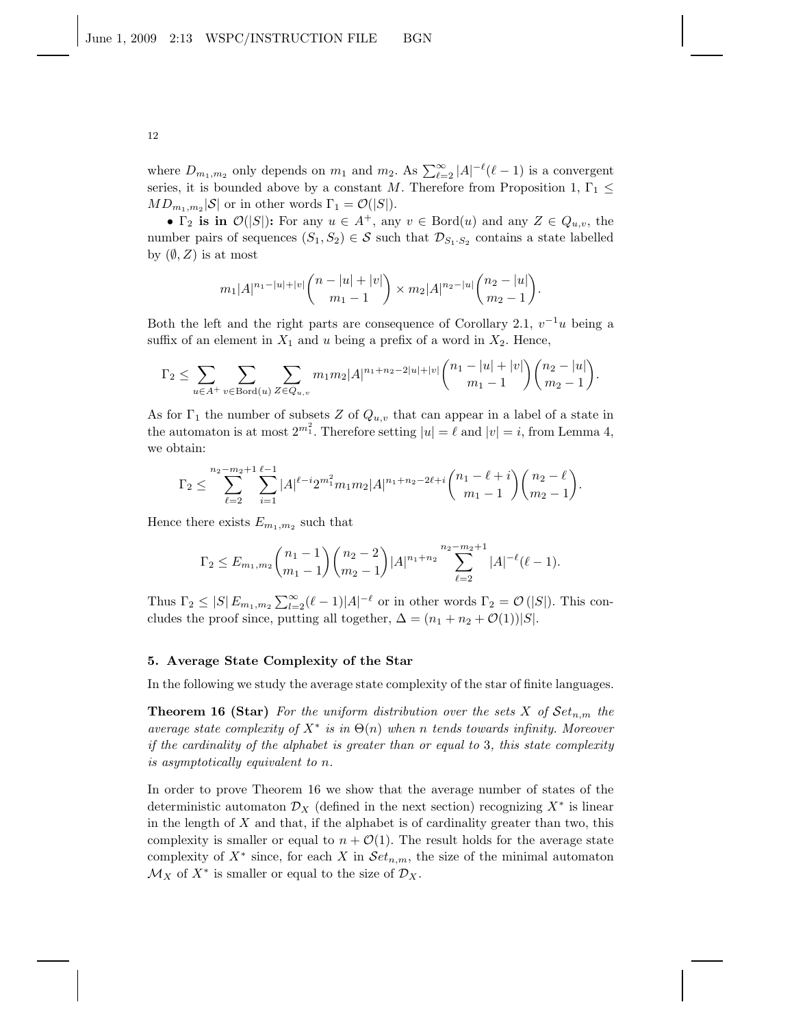where  $D_{m_1,m_2}$  only depends on  $m_1$  and  $m_2$ . As  $\sum_{\ell=2}^{\infty} |A|^{-\ell} (\ell-1)$  is a convergent series, it is bounded above by a constant M. Therefore from Proposition 1,  $\Gamma_1 \leq$  $MD_{m_1,m_2}|\mathcal{S}|$  or in other words  $\Gamma_1 = \mathcal{O}(|S|)$ .

•  $\Gamma_2$  is in  $\mathcal{O}(|S|)$ : For any  $u \in A^+$ , any  $v \in \text{Bord}(u)$  and any  $Z \in Q_{u,v}$ , the number pairs of sequences  $(S_1, S_2) \in S$  such that  $\mathcal{D}_{S_1 \cdot S_2}$  contains a state labelled by  $(\emptyset, Z)$  is at most

$$
m_1|A|^{n_1-|u|+|v|}\binom{n-|u|+|v|}{m_1-1} \times m_2|A|^{n_2-|u|}\binom{n_2-|u|}{m_2-1}.
$$

Both the left and the right parts are consequence of Corollary 2.1,  $v^{-1}u$  being a suffix of an element in  $X_1$  and u being a prefix of a word in  $X_2$ . Hence,

$$
\Gamma_2 \leq \sum_{u \in A^+} \sum_{v \in \text{Bord}(u)} \sum_{Z \in Q_{u,v}} m_1 m_2 |A|^{n_1 + n_2 - 2|u| + |v|} \binom{n_1 - |u| + |v|}{m_1 - 1} \binom{n_2 - |u|}{m_2 - 1}.
$$

As for  $\Gamma_1$  the number of subsets Z of  $Q_{u,v}$  that can appear in a label of a state in the automaton is at most  $2^{m_1^2}$ . Therefore setting  $|u| = \ell$  and  $|v| = i$ , from Lemma 4, we obtain:

$$
\Gamma_2 \leq \sum_{\ell=2}^{n_2-m_2+1} \sum_{i=1}^{\ell-1} |A|^{\ell-i} 2^{m_1^2} m_1 m_2 |A|^{n_1+n_2-2\ell+i} {n_1 - \ell + i \choose m_1 - 1} {n_2 - \ell \choose m_2 - 1}.
$$

Hence there exists  $E_{m_1,m_2}$  such that

$$
\Gamma_2 \leq E_{m_1,m_2} \binom{n_1-1}{m_1-1} \binom{n_2-2}{m_2-1} |A|^{n_1+n_2} \sum_{\ell=2}^{n_2-m_2+1} |A|^{-\ell} (\ell-1).
$$

Thus  $\Gamma_2 \leq |S| E_{m_1,m_2} \sum_{l=2}^{\infty} (\ell-1)|A|^{-\ell}$  or in other words  $\Gamma_2 = \mathcal{O}(|S|)$ . This concludes the proof since, putting all together,  $\Delta = (n_1 + n_2 + \mathcal{O}(1))|S|$ .

#### 5. Average State Complexity of the Star

In the following we study the average state complexity of the star of finite languages.

**Theorem 16 (Star)** *For the uniform distribution over the sets*  $X$  *of*  $Set_{n,m}$  *the average state complexity of* X<sup>∗</sup> *is in* Θ(n) *when* n *tends towards infinity. Moreover if the cardinality of the alphabet is greater than or equal to* 3*, this state complexity is asymptotically equivalent to* n*.*

In order to prove Theorem 16 we show that the average number of states of the deterministic automaton  $\mathcal{D}_X$  (defined in the next section) recognizing  $X^*$  is linear in the length of  $X$  and that, if the alphabet is of cardinality greater than two, this complexity is smaller or equal to  $n + \mathcal{O}(1)$ . The result holds for the average state complexity of  $X^*$  since, for each X in  $Set_{n,m}$ , the size of the minimal automaton  $\mathcal{M}_X$  of  $X^*$  is smaller or equal to the size of  $\mathcal{D}_X$ .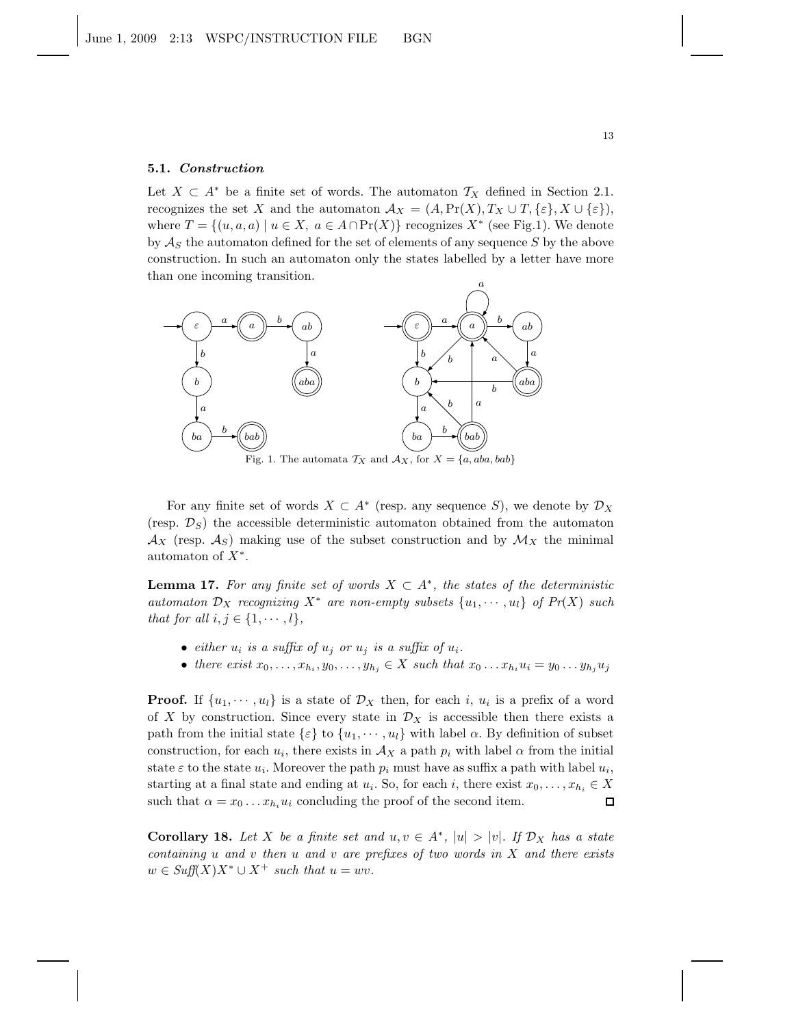#### 5.1. Construction

Let  $X \subset A^*$  be a finite set of words. The automaton  $\mathcal{T}_X$  defined in Section 2.1. recognizes the set X and the automaton  $\mathcal{A}_X = (A, \Pr(X), T_X \cup T, \{\varepsilon\}, X \cup \{\varepsilon\}),$ where  $T = \{(u, a, a) \mid u \in X, a \in A \cap Pr(X)\}$  recognizes  $X^*$  (see Fig.1). We denote by  $\mathcal{A}_S$  the automaton defined for the set of elements of any sequence S by the above construction. In such an automaton only the states labelled by a letter have more than one incoming transition.



For any finite set of words  $X \subset A^*$  (resp. any sequence S), we denote by  $\mathcal{D}_X$ (resp.  $\mathcal{D}_S$ ) the accessible deterministic automaton obtained from the automaton  $\mathcal{A}_X$  (resp.  $\mathcal{A}_S$ ) making use of the subset construction and by  $\mathcal{M}_X$  the minimal automaton of  $X^*$ .

**Lemma 17.** For any finite set of words  $X \subset A^*$ , the states of the deterministic *automaton*  $\mathcal{D}_X$  *recognizing*  $X^*$  *are non-empty subsets*  $\{u_1, \dots, u_l\}$  *of Pr(X) such that for all*  $i, j \in \{1, \dots, l\}$ *,* 

- *either*  $u_i$  *is a suffix of*  $u_j$  *or*  $u_j$  *is a suffix of*  $u_i$ *.*
- there exist  $x_0, \ldots, x_{h_i}, y_0, \ldots, y_{h_j} \in X$  such that  $x_0 \ldots x_{h_i} u_i = y_0 \ldots y_{h_j} u_j$

**Proof.** If  $\{u_1, \dots, u_l\}$  is a state of  $\mathcal{D}_X$  then, for each i,  $u_i$  is a prefix of a word of X by construction. Since every state in  $\mathcal{D}_X$  is accessible then there exists a path from the initial state  $\{\varepsilon\}$  to  $\{u_1, \dots, u_l\}$  with label  $\alpha$ . By definition of subset construction, for each  $u_i$ , there exists in  $A_X$  a path  $p_i$  with label  $\alpha$  from the initial state  $\varepsilon$  to the state  $u_i$ . Moreover the path  $p_i$  must have as suffix a path with label  $u_i$ , starting at a final state and ending at  $u_i$ . So, for each i, there exist  $x_0, \ldots, x_{h_i} \in X$ such that  $\alpha = x_0 \dots x_{h_i} u_i$  concluding the proof of the second item.  $\Box$ 

**Corollary 18.** Let X be a finite set and  $u, v \in A^*$ ,  $|u| > |v|$ . If  $\mathcal{D}_X$  has a state *containing* u *and* v *then* u *and* v *are prefixes of two words in* X *and there exists*  $w \in S \infty(f(X)X^* \cup X^+ \text{ such that } u = wv.$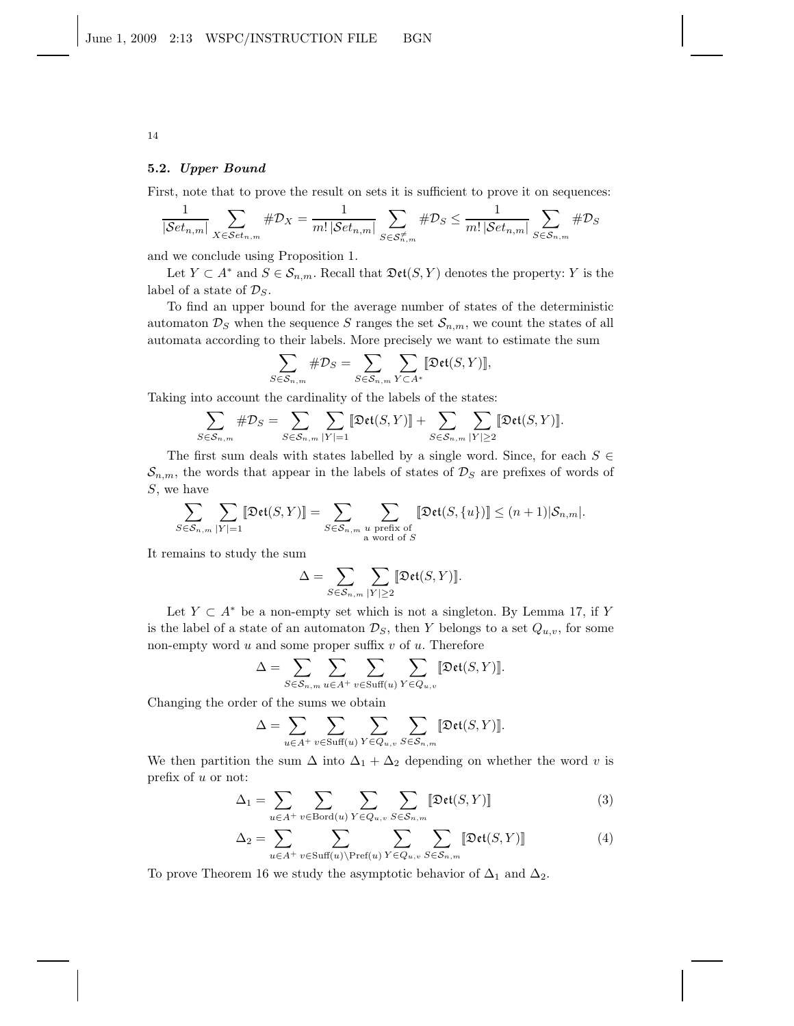#### 5.2. Upper Bound

First, note that to prove the result on sets it is sufficient to prove it on sequences:

$$
\frac{1}{|\mathcal{S}et_{n,m}|}\sum_{X\in \mathcal{S}et_{n,m}}\#\mathcal{D}_X=\frac{1}{m!\,|\mathcal{S}et_{n,m}|}\sum_{S\in \mathcal{S}_{n,m}^{\neq}}\#\mathcal{D}_S\leq \frac{1}{m!\,|\mathcal{S}et_{n,m}|}\sum_{S\in \mathcal{S}_{n,m}}\#\mathcal{D}_S
$$

and we conclude using Proposition 1.

Let  $Y \subset A^*$  and  $S \in \mathcal{S}_{n,m}$ . Recall that  $\mathfrak{Det}(S, Y)$  denotes the property: Y is the label of a state of  $\mathcal{D}_S$ .

To find an upper bound for the average number of states of the deterministic automaton  $\mathcal{D}_S$  when the sequence S ranges the set  $\mathcal{S}_{n,m}$ , we count the states of all automata according to their labels. More precisely we want to estimate the sum

$$
\sum_{S \in \mathcal{S}_{n,m}} \# \mathcal{D}_S = \sum_{S \in \mathcal{S}_{n,m}} \sum_{Y \subset A^*} [\![\mathfrak{Det}(S,Y)]\!],
$$

Taking into account the cardinality of the labels of the states:

$$
\sum_{S \in \mathcal{S}_{n,m}} \# \mathcal{D}_S = \sum_{S \in \mathcal{S}_{n,m}} \sum_{|Y|=1} [\mathfrak{Det}(S,Y)] + \sum_{S \in \mathcal{S}_{n,m}} \sum_{|Y| \ge 2} [\mathfrak{Det}(S,Y)].
$$

The first sum deals with states labelled by a single word. Since, for each  $S \in$  $\mathcal{S}_{n,m}$ , the words that appear in the labels of states of  $\mathcal{D}_S$  are prefixes of words of S, we have

$$
\sum_{S \in \mathcal{S}_{n,m}} \sum_{|Y|=1} \llbracket \mathfrak{Det}(S,Y) \rrbracket = \sum_{S \in \mathcal{S}_{n,m}} \sum_{\substack{u \text{ prefix of} \\ \text{a word of } S}} \llbracket \mathfrak{Det}(S,\{u\}) \rrbracket \leq (n+1) |\mathcal{S}_{n,m}|.
$$

It remains to study the sum

$$
\Delta = \sum_{S \in \mathcal{S}_{n,m}} \sum_{|Y| \ge 2} [\![\mathfrak{Det}(S,Y)]\!].
$$

Let  $Y \subset A^*$  be a non-empty set which is not a singleton. By Lemma 17, if Y is the label of a state of an automaton  $\mathcal{D}_S$ , then Y belongs to a set  $Q_{u,v}$ , for some non-empty word  $u$  and some proper suffix  $v$  of  $u$ . Therefore

$$
\Delta = \sum_{S \in \mathcal{S}_{n,m}} \sum_{u \in A^+} \sum_{v \in {\rm{Suff}}(u)} \sum_{Y \in Q_{u,v}} \llbracket {\mathfrak{Det}}(S,Y) \rrbracket.
$$

Changing the order of the sums we obtain

$$
\Delta = \sum_{u \in A^+} \sum_{v \in \text{Suff}(u)} \sum_{Y \in Q_{u,v}} \sum_{S \in S_{n,m}} [\text{Det}(S, Y)].
$$

We then partition the sum  $\Delta$  into  $\Delta_1 + \Delta_2$  depending on whether the word v is prefix of u or not:

$$
\Delta_1 = \sum_{u \in A^+} \sum_{v \in \text{Bord}(u)} \sum_{Y \in Q_{u,v}} \sum_{S \in S_{n,m}} [\text{Det}(S, Y)] \tag{3}
$$

$$
\Delta_2 = \sum_{u \in A^+} \sum_{v \in \text{Suff}(u) \backslash \text{Pref}(u)} \sum_{Y \in Q_{u,v}} \sum_{S \in S_{n,m}} [\text{Det}(S, Y)] \tag{4}
$$

To prove Theorem 16 we study the asymptotic behavior of  $\Delta_1$  and  $\Delta_2$ .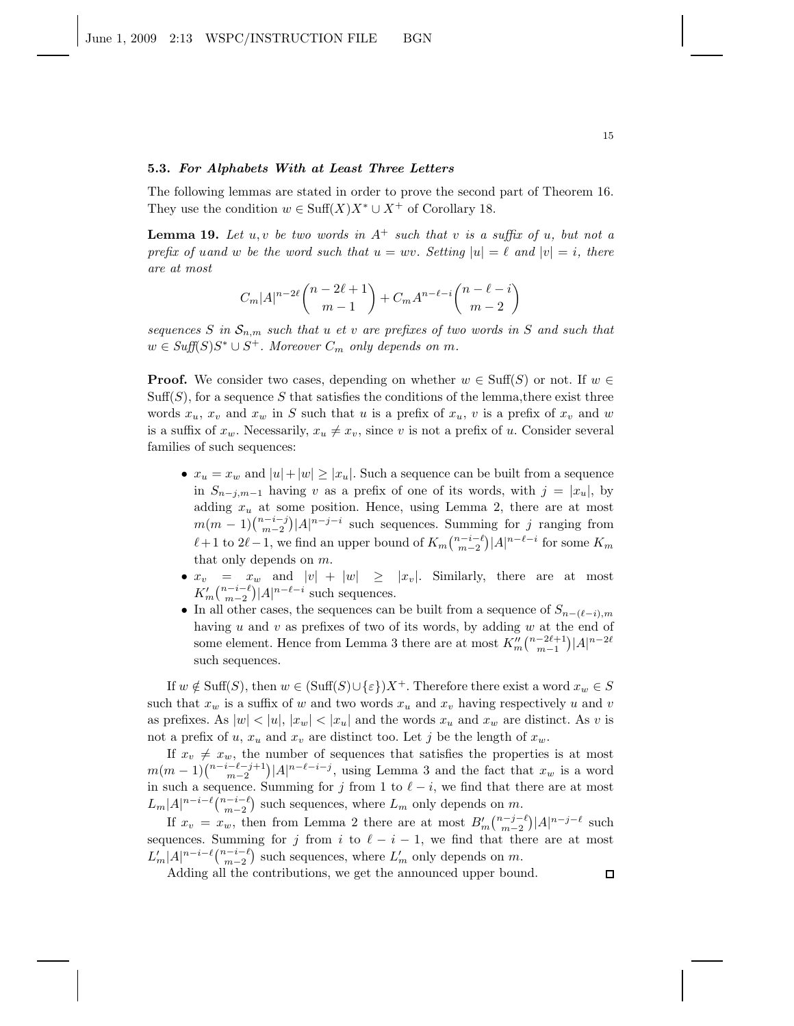### 5.3. For Alphabets With at Least Three Letters

The following lemmas are stated in order to prove the second part of Theorem 16. They use the condition  $w \in \text{Suff}(X)X^* \cup X^+$  of Corollary 18.

**Lemma 19.** Let  $u, v$  be two words in  $A^+$  such that v is a suffix of  $u$ , but not a *prefix of uand* w *be the word such that*  $u = wv$ *. Setting*  $|u| = \ell$  *and*  $|v| = i$ *, there are at most*

$$
C_m|A|^{n-2\ell}\binom{n-2\ell+1}{m-1} + C_mA^{n-\ell-i}\binom{n-\ell-i}{m-2}
$$

*sequences* S in  $S_{n,m}$  *such that u et v are prefixes of two words in* S *and such that*  $w \in \text{Suff}(S)S^* \cup S^+$ . Moreover  $C_m$  only depends on  $m$ .

**Proof.** We consider two cases, depending on whether  $w \in \text{Suff}(S)$  or not. If  $w \in$  $Suff(S)$ , for a sequence S that satisfies the conditions of the lemma, there exist three words  $x_u$ ,  $x_v$  and  $x_w$  in S such that u is a prefix of  $x_u$ , v is a prefix of  $x_v$  and w is a suffix of  $x_w$ . Necessarily,  $x_u \neq x_v$ , since v is not a prefix of u. Consider several families of such sequences:

- $x_u = x_w$  and  $|u| + |w| \ge |x_u|$ . Such a sequence can be built from a sequence in  $S_{n-j,m-1}$  having v as a prefix of one of its words, with  $j = |x_u|$ , by adding  $x_u$  at some position. Hence, using Lemma 2, there are at most  $m(m-1)\binom{n-i-j}{m-2}|A|^{n-j-i}$  such sequences. Summing for j ranging from  $\ell+1$  to  $2\ell-1$ , we find an upper bound of  $K_m\binom{n-i-\ell}{m-2}|A|^{n-\ell-i}$  for some  $K_m$ that only depends on m.
- $x_v = x_w$  and  $|v| + |w| \ge |x_v|$ . Similarly, there are at most  $K'_m\binom{n-i-\ell}{m-2}|A|^{n-\ell-i}$  such sequences.
- In all other cases, the sequences can be built from a sequence of  $S_{n-(\ell-i),m}$ having  $u$  and  $v$  as prefixes of two of its words, by adding  $w$  at the end of some element. Hence from Lemma 3 there are at most  $K''_m\binom{n-2\ell+1}{m-1}|A|^{n-2\ell}$ such sequences.

If  $w \notin \text{Suff}(S)$ , then  $w \in (\text{Suff}(S) \cup \{\varepsilon\})X^+$ . Therefore there exist a word  $x_w \in S$ such that  $x_w$  is a suffix of w and two words  $x_u$  and  $x_v$  having respectively u and v as prefixes. As  $|w| < |u|, |x_w| < |x_u|$  and the words  $x_u$  and  $x_w$  are distinct. As v is not a prefix of u,  $x_u$  and  $x_v$  are distinct too. Let j be the length of  $x_w$ .

If  $x_v \neq x_w$ , the number of sequences that satisfies the properties is at most  $m(m-1)\binom{n-i-\ell-j+1}{m-2}|A|^{n-\ell-i-j}$ , using Lemma 3 and the fact that  $x_w$  is a word in such a sequence. Summing for j from 1 to  $\ell - i$ , we find that there are at most  $L_m |A|^{n-i-\ell} \binom{n-i-\ell}{m-2}$  such sequences, where  $L_m$  only depends on m.

If  $x_v = x_w$ , then from Lemma 2 there are at most  $B'_m\binom{n-j-\ell}{m-2}|A|^{n-j-\ell}$  such sequences. Summing for j from i to  $\ell - i - 1$ , we find that there are at most  $L'_m |A|^{n-i-\ell} \binom{n-i-\ell}{m-2}$  such sequences, where  $L'_m$  only depends on m.

Adding all the contributions, we get the announced upper bound.

 $\Box$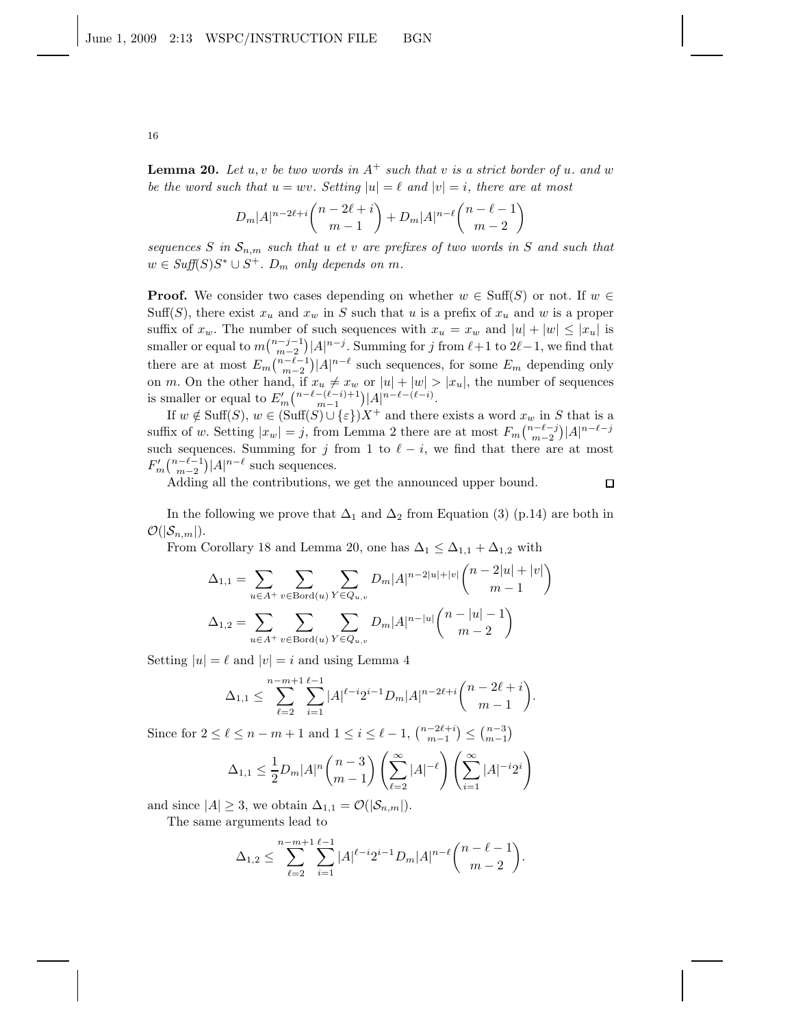**Lemma 20.** Let  $u, v$  be two words in  $A^+$  such that v is a strict border of u. and w *be the word such that*  $u = wv$ *. Setting*  $|u| = \ell$  *and*  $|v| = i$ *, there are at most* 

$$
D_m|A|^{n-2\ell+i}\binom{n-2\ell+i}{m-1} + D_m|A|^{n-\ell}\binom{n-\ell-1}{m-2}
$$

*sequences* S in  $S_{n,m}$  such that u *et* v are prefixes of two words in S and such that  $w \in Suff(S)S^* \cup S^+$ .  $D_m$  only depends on m.

**Proof.** We consider two cases depending on whether  $w \in \text{Suff}(S)$  or not. If  $w \in$ Suff(S), there exist  $x_u$  and  $x_w$  in S such that u is a prefix of  $x_u$  and w is a proper suffix of  $x_w$ . The number of such sequences with  $x_u = x_w$  and  $|u| + |w| \leq |x_u|$  is smaller or equal to  $m\binom{n-j-1}{m-2}|A|^{n-j}$ . Summing for j from  $\ell+1$  to  $2\ell-1$ , we find that there are at most  $E_m\binom{n-\ell-1}{m-2}|A|^{n-\ell}$  such sequences, for some  $E_m$  depending only on m. On the other hand, if  $x_u \neq x_w$  or  $|u| + |w| > |x_u|$ , the number of sequences is smaller or equal to  $E'_m\binom{n-\ell-(\ell-i)+1}{m-1}|A|^{n-\ell-(\ell-i)}$ .

If  $w \notin \text{Suff}(S), w \in (\text{Suff}(S) \cup \{\varepsilon\})X^+$  and there exists a word  $x_w$  in S that is a suffix of w. Setting  $|x_w| = j$ , from Lemma 2 there are at most  $F_m\binom{n-\ell-j}{m-2}|A|^{n-\ell-j}$ such sequences. Summing for j from 1 to  $\ell - i$ , we find that there are at most  $F'_m\binom{n-\ell-1}{m-2}|A|^{n-\ell}$  such sequences.

Adding all the contributions, we get the announced upper bound.

 $\Box$ 

In the following we prove that  $\Delta_1$  and  $\Delta_2$  from Equation (3) (p.14) are both in  $\mathcal{O}(|\mathcal{S}_{n,m}|).$ 

From Corollary 18 and Lemma 20, one has  $\Delta_1 \leq \Delta_{1,1} + \Delta_{1,2}$  with

$$
\Delta_{1,1} = \sum_{u \in A^+} \sum_{v \in \text{Bord}(u)} \sum_{Y \in Q_{u,v}} D_m |A|^{n-2|u|+|v|} \binom{n-2|u|+|v|}{m-1}
$$

$$
\Delta_{1,2} = \sum_{u \in A^+} \sum_{v \in \text{Bord}(u)} \sum_{Y \in Q_{u,v}} D_m |A|^{n-|u|} \binom{n-|u|-1}{m-2}
$$

Setting  $|u| = \ell$  and  $|v| = i$  and using Lemma 4

$$
\Delta_{1,1} \leq \sum_{\ell=2}^{n-m+1} \sum_{i=1}^{\ell-1} |A|^{\ell-i} 2^{i-1} D_m |A|^{n-2\ell+i} {n-2\ell+i \choose m-1}.
$$

Since for  $2 \leq \ell \leq n-m+1$  and  $1 \leq i \leq \ell-1$ ,  $\binom{n-2\ell+i}{m-1} \leq \binom{n-3}{m-1}$ 

$$
\Delta_{1,1} \leq \frac{1}{2} D_m |A|^n \binom{n-3}{m-1} \left( \sum_{\ell=2}^{\infty} |A|^{-\ell} \right) \left( \sum_{i=1}^{\infty} |A|^{-i} 2^i \right)
$$

and since  $|A| \geq 3$ , we obtain  $\Delta_{1,1} = \mathcal{O}(|\mathcal{S}_{n,m}|)$ .

The same arguments lead to

$$
\Delta_{1,2} \leq \sum_{\ell=2}^{n-m+1} \sum_{i=1}^{\ell-1} |A|^{\ell-i} 2^{i-1} D_m |A|^{n-\ell} {n-\ell-1 \choose m-2}.
$$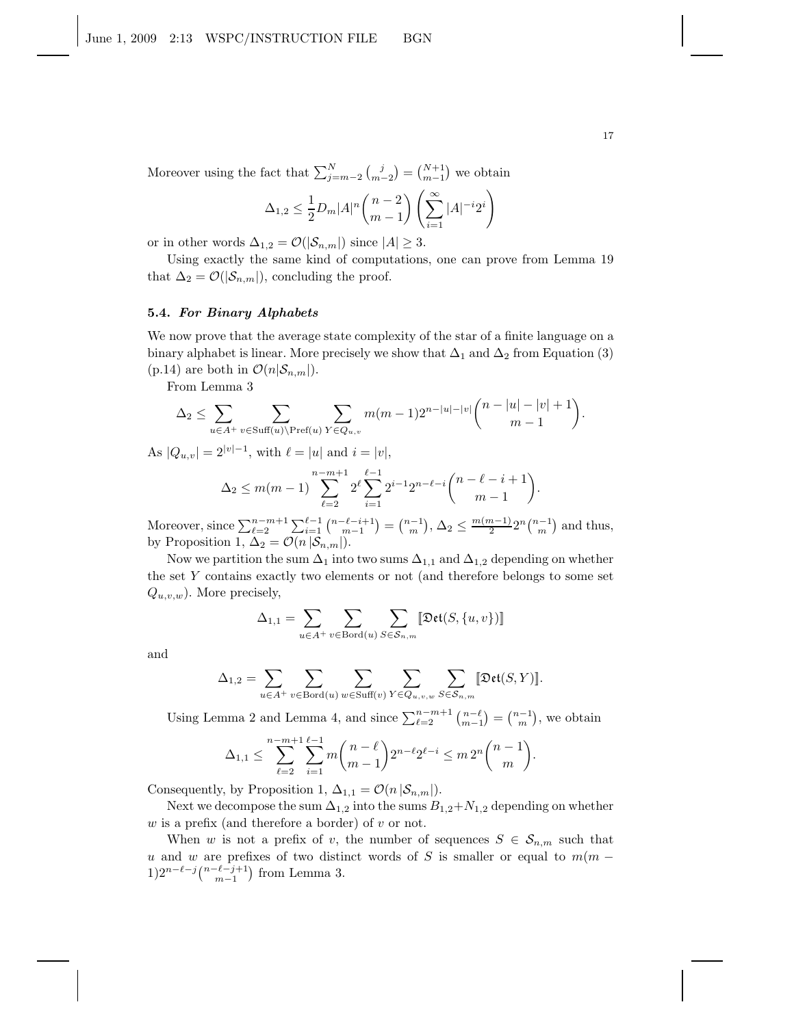Moreover using the fact that  $\sum_{j=m-2}^{N} {j \choose m-2} = {N+1 \choose m-1}$  we obtain

$$
\Delta_{1,2} \le \frac{1}{2} D_m |A|^n \binom{n-2}{m-1} \left( \sum_{i=1}^{\infty} |A|^{-i} 2^i \right)
$$

or in other words  $\Delta_{1,2} = \mathcal{O}(|\mathcal{S}_{n,m}|)$  since  $|A| \geq 3$ .

Using exactly the same kind of computations, one can prove from Lemma 19 that  $\Delta_2 = \mathcal{O}(|\mathcal{S}_{n,m}|)$ , concluding the proof.

## 5.4. For Binary Alphabets

We now prove that the average state complexity of the star of a finite language on a binary alphabet is linear. More precisely we show that  $\Delta_1$  and  $\Delta_2$  from Equation (3) (p.14) are both in  $\mathcal{O}(n|\mathcal{S}_{n,m}|)$ .

From Lemma 3

$$
\Delta_2 \leq \sum_{u \in A^+} \sum_{v \in \text{Suff}(u) \backslash \text{Pref}(u)} \sum_{Y \in Q_{u,v}} m(m-1) 2^{n-|u|-|v|} {n-|u|-|v|+1 \choose m-1}.
$$

As  $|Q_{u,v}| = 2^{|v|-1}$ , with  $\ell = |u|$  and  $i = |v|$ ,

$$
\Delta_2 \le m(m-1) \sum_{\ell=2}^{n-m+1} 2^{\ell} \sum_{i=1}^{\ell-1} 2^{i-1} 2^{n-\ell-i} {n-\ell-i+1 \choose m-1}.
$$

Moreover, since  $\sum_{\ell=2}^{n-m+1} \sum_{i=1}^{\ell-1} {n-\ell-i+1 \choose m-1} = {n-1 \choose m}, \Delta_2 \le \frac{m(m-1)}{2}$  $\frac{n-1}{2}2^n\binom{n-1}{m}$  and thus, by Proposition 1,  $\Delta_2 = \mathcal{O}(n |\mathcal{S}_{n,m}|)$ .

Now we partition the sum  $\Delta_1$  into two sums  $\Delta_{1,1}$  and  $\Delta_{1,2}$  depending on whether the set Y contains exactly two elements or not (and therefore belongs to some set  $Q_{u,v,w}$ ). More precisely,

$$
\Delta_{1,1} = \sum_{u \in A^+} \sum_{v \in \text{Bord}(u)} \sum_{S \in \mathcal{S}_{n,m}} \llbracket \mathfrak{Det}(S, \{u, v\}) \rrbracket
$$

and

$$
\Delta_{1,2} = \sum_{u \in A^+} \sum_{v \in \text{Bord}(u)} \sum_{w \in \text{Suff}(v)} \sum_{Y \in Q_{u,v,w}} \sum_{S \in S_{n,m}} [\text{Det}(S,Y)].
$$

Using Lemma 2 and Lemma 4, and since  $\sum_{\ell=2}^{n-m+1} {n-\ell \choose m-1} = {n-1 \choose m}$ , we obtain ℓ−1

$$
\Delta_{1,1} \leq \sum_{\ell=2}^{n-m+1} \sum_{i=1}^{\ell-1} m \binom{n-\ell}{m-1} 2^{n-\ell} 2^{\ell-i} \leq m \, 2^n \binom{n-1}{m}.
$$

Consequently, by Proposition 1,  $\Delta_{1,1} = \mathcal{O}(n |\mathcal{S}_{n,m}|)$ .

Next we decompose the sum  $\Delta_{1,2}$  into the sums  $B_{1,2}+N_{1,2}$  depending on whether  $w$  is a prefix (and therefore a border) of  $v$  or not.

When w is not a prefix of v, the number of sequences  $S \in \mathcal{S}_{n,m}$  such that u and w are prefixes of two distinct words of S is smaller or equal to  $m(m -$ 1)2<sup>n-ℓ-j</sup>(<sup>n-ℓ-j+1</sup>) from Lemma 3.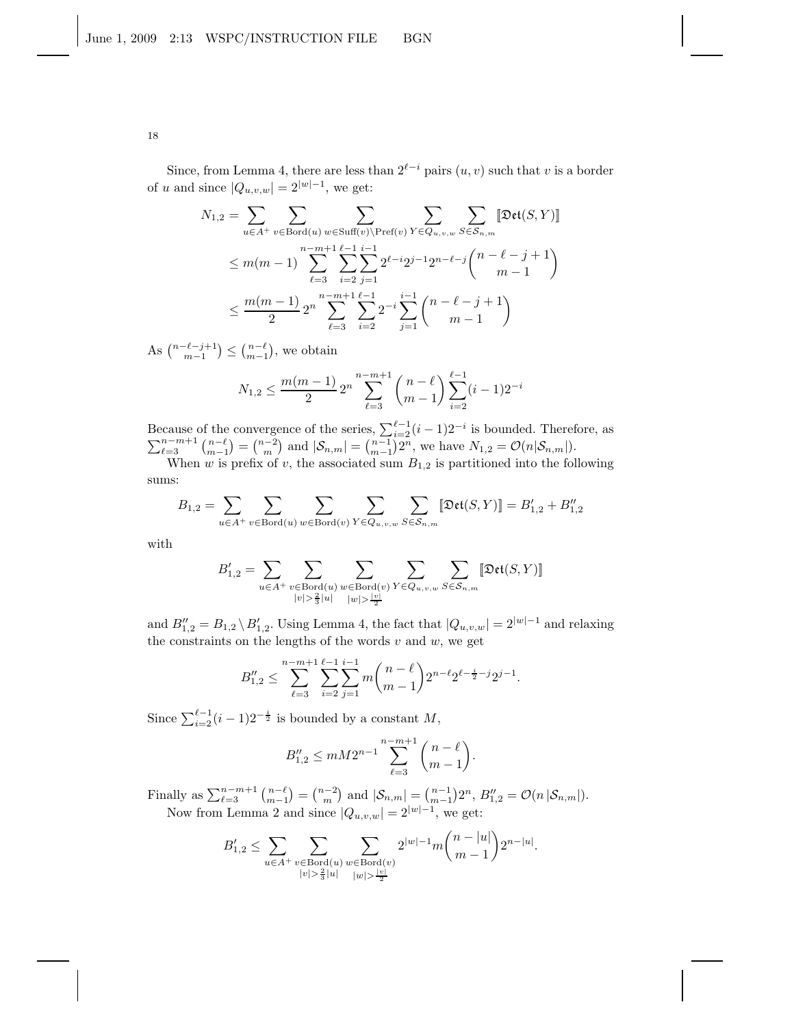Since, from Lemma 4, there are less than  $2^{\ell-i}$  pairs  $(u, v)$  such that v is a border of u and since  $|Q_{u,v,w}| = 2^{|w|-1}$ , we get:

$$
N_{1,2} = \sum_{u \in A^{+}} \sum_{v \in \text{Bord}(u)} \sum_{w \in \text{Suff}(v) \backslash \text{Pref}(v)} \sum_{Y \in Q_{u,v,w}} \sum_{S \in S_{n,m}} [\text{Det}(S, Y)]
$$
  
\n
$$
\leq m(m-1) \sum_{\ell=3}^{n-m+1} \sum_{i=2}^{\ell-1} \sum_{j=1}^{i-1} 2^{\ell-i} 2^{j-1} 2^{n-\ell-j} {n-\ell-j+1 \choose m-1}
$$
  
\n
$$
\leq \frac{m(m-1)}{2} 2^n \sum_{\ell=3}^{n-m+1} \sum_{i=2}^{\ell-1} 2^{-i} \sum_{j=1}^{i-1} {n-\ell-j+1 \choose m-1}
$$

As  $\binom{n-\ell-j+1}{m-1} \leq \binom{n-\ell}{m-1}$ , we obtain

$$
N_{1,2} \le \frac{m(m-1)}{2} 2^n \sum_{\ell=3}^{n-m+1} {n-\ell \choose m-1} \sum_{i=2}^{\ell-1} (i-1) 2^{-i}
$$

Because of the convergence of the series,  $\sum_{i=2}^{\ell-1} (i-1)2^{-i}$  is bounded. Therefore, as  $\sum_{\ell=3}^{n-m+1} {n-\ell \choose m-1} = {n-2 \choose m}$  and  $|\mathcal{S}_{n,m}| = {n-1 \choose m-1} 2^n$ , we have  $N_{1,2} = \mathcal{O}(n|\mathcal{S}_{n,m}|)$ .

When w is prefix of v, the associated sum  $B_{1,2}$  is partitioned into the following sums:

$$
B_{1,2} = \sum_{u \in A^+} \sum_{v \in \text{Bord}(u)} \sum_{w \in \text{Bord}(v)} \sum_{Y \in Q_{u,v,w}} \sum_{S \in \mathcal{S}_{n,m}} [\text{Det}(S,Y)] = B'_{1,2} + B''_{1,2}
$$

with

$$
B_{1,2}' = \sum_{u \in A^+} \sum_{\substack{v \in \text{Bord}(u) \\ |v| > \frac{2}{3} |u|}} \sum_{\substack{w \in \text{Bord}(v) \\ |w| > \frac{|v|}{2}}} \sum_{Y \in Q_{u,v,w}} \sum_{S \in \mathcal{S}_{n,m}} \llbracket \mathfrak{Det}(S,Y) \rrbracket
$$

and  $B''_{1,2} = B_{1,2} \setminus B'_{1,2}$ . Using Lemma 4, the fact that  $|Q_{u,v,w}| = 2^{|w|-1}$  and relaxing the constraints on the lengths of the words  $v$  and  $w$ , we get

$$
B_{1,2}'' \leq \sum_{\ell=3}^{n-m+1} \sum_{i=2}^{\ell-1} \sum_{j=1}^{i-1} m \binom{n-\ell}{m-1} 2^{n-\ell} 2^{\ell-\frac{i}{2}-j} 2^{j-1}.
$$

Since  $\sum_{i=2}^{\ell-1} (i-1)2^{-\frac{i}{2}}$  is bounded by a constant M,

$$
B_{1,2}^{"}\leq mM2^{n-1}\sum_{\ell=3}^{n-m+1}\binom{n-\ell}{m-1}.
$$

Finally as  $\sum_{\ell=3}^{n-m+1} {n-\ell \choose m-1} = {n-2 \choose m}$  and  $|\mathcal{S}_{n,m}| = {n-1 \choose m-1} 2^n$ ,  $B''_{1,2} = \mathcal{O}(n |\mathcal{S}_{n,m}|)$ . Now from Lemma 2 and since  $|Q_{u,v,w}| = 2^{|w|-1}$ , we get:

$$
B_{1,2}' \leq \sum_{u \in A^+} \sum_{\substack{v \in \text{Bord}(u) \\ |v| > \frac{2}{3} |u|}} \sum_{\substack{w \in \text{Bord}(v) \\ |w| > \frac{|v|}{2}}} 2^{|w|-1} m {n - |u| \choose m-1} 2^{n-|u|}.
$$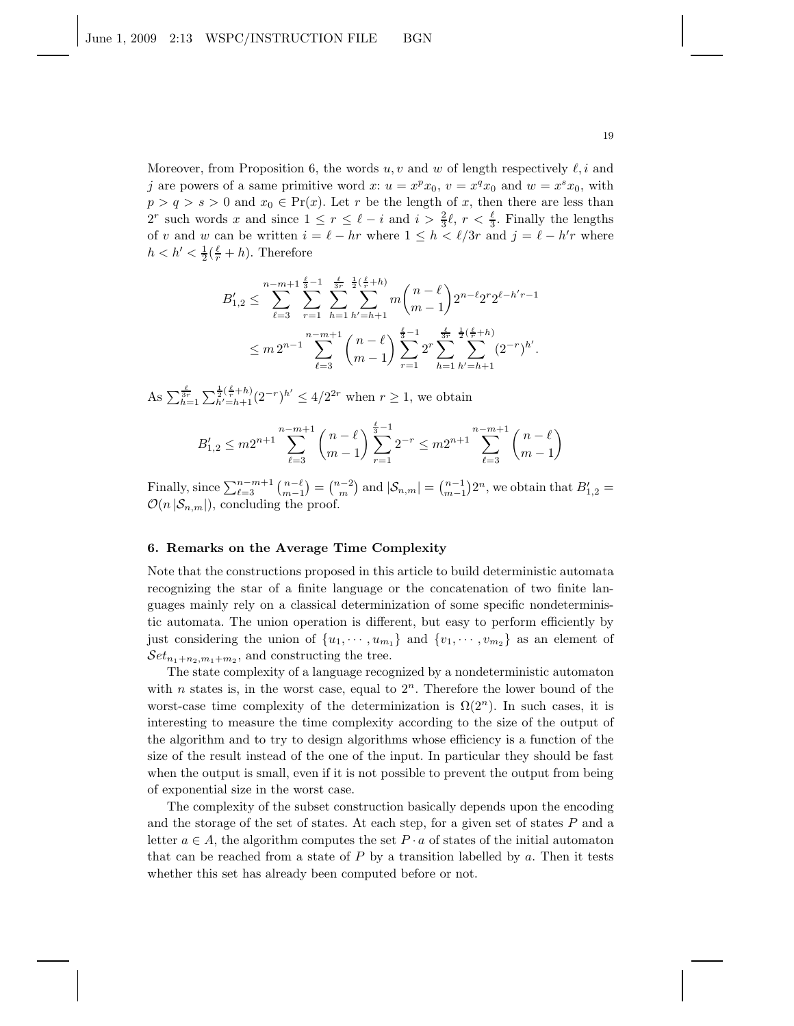Moreover, from Proposition 6, the words  $u, v$  and w of length respectively  $\ell, i$  and j are powers of a same primitive word  $x: u = x^p x_0, v = x^q x_0$  and  $w = x^s x_0$ , with  $p > q > s > 0$  and  $x_0 \in Pr(x)$ . Let r be the length of x, then there are less than  $2^r$  such words x and since  $1 \leq r \leq \ell - i$  and  $i > \frac{2}{3}\ell$ ,  $r < \frac{\ell}{3}$ . Finally the lengths of v and w can be written  $i = \ell - hr$  where  $1 \leq h < \ell/3r$  and  $j = \ell - h'r$  where  $h < h' < \frac{1}{2}(\frac{\ell}{r} + h)$ . Therefore

$$
B'_{1,2} \leq \sum_{\ell=3}^{n-m+1} \sum_{r=1}^{\frac{\ell}{3}-1} \sum_{h=1}^{\frac{\ell}{3}-1} \sum_{h'=h+1}^{\frac{\ell}{3}-1} m \binom{n-\ell}{m-1} 2^{n-\ell} 2^r 2^{\ell-h'-1}
$$
  

$$
\leq m 2^{n-1} \sum_{\ell=3}^{n-m+1} \binom{n-\ell}{m-1} \sum_{r=1}^{\frac{\ell}{3}-1} 2^r \sum_{h=1}^{\frac{\ell}{3}-1} \sum_{h'=h+1}^{\frac{\ell}{3}-1} (2^{-r})^{h'}.
$$

As  $\sum_{h=1}^{\frac{\ell}{3r}} \sum_{h'=h+1}^{\frac{1}{2}(\frac{\ell}{r}+h)} (2^{-r})^{h'} \leq 4/2^{2r}$  when  $r \geq 1$ , we obtain

$$
B'_{1,2} \le m2^{n+1} \sum_{\ell=3}^{n-m+1} \binom{n-\ell}{m-1} \sum_{r=1}^{\frac{\ell}{3}-1} 2^{-r} \le m2^{n+1} \sum_{\ell=3}^{n-m+1} \binom{n-\ell}{m-1}
$$

Finally, since  $\sum_{\ell=3}^{n-m+1} {n-\ell \choose m-1} = {n-2 \choose m}$  and  $|\mathcal{S}_{n,m}| = {n-1 \choose m-1} 2^n$ , we obtain that  $B'_{1,2} =$  $\mathcal{O}(n |\mathcal{S}_{n,m}|)$ , concluding the proof.

## 6. Remarks on the Average Time Complexity

Note that the constructions proposed in this article to build deterministic automata recognizing the star of a finite language or the concatenation of two finite languages mainly rely on a classical determinization of some specific nondeterministic automata. The union operation is different, but easy to perform efficiently by just considering the union of  $\{u_1, \dots, u_{m_1}\}\$  and  $\{v_1, \dots, v_{m_2}\}\$  as an element of  $\mathcal{S}et_{n_1+n_2,m_1+m_2}$ , and constructing the tree.

The state complexity of a language recognized by a nondeterministic automaton with n states is, in the worst case, equal to  $2<sup>n</sup>$ . Therefore the lower bound of the worst-case time complexity of the determinization is  $\Omega(2^n)$ . In such cases, it is interesting to measure the time complexity according to the size of the output of the algorithm and to try to design algorithms whose efficiency is a function of the size of the result instead of the one of the input. In particular they should be fast when the output is small, even if it is not possible to prevent the output from being of exponential size in the worst case.

The complexity of the subset construction basically depends upon the encoding and the storage of the set of states. At each step, for a given set of states P and a letter  $a \in A$ , the algorithm computes the set  $P \cdot a$  of states of the initial automaton that can be reached from a state of  $P$  by a transition labelled by  $a$ . Then it tests whether this set has already been computed before or not.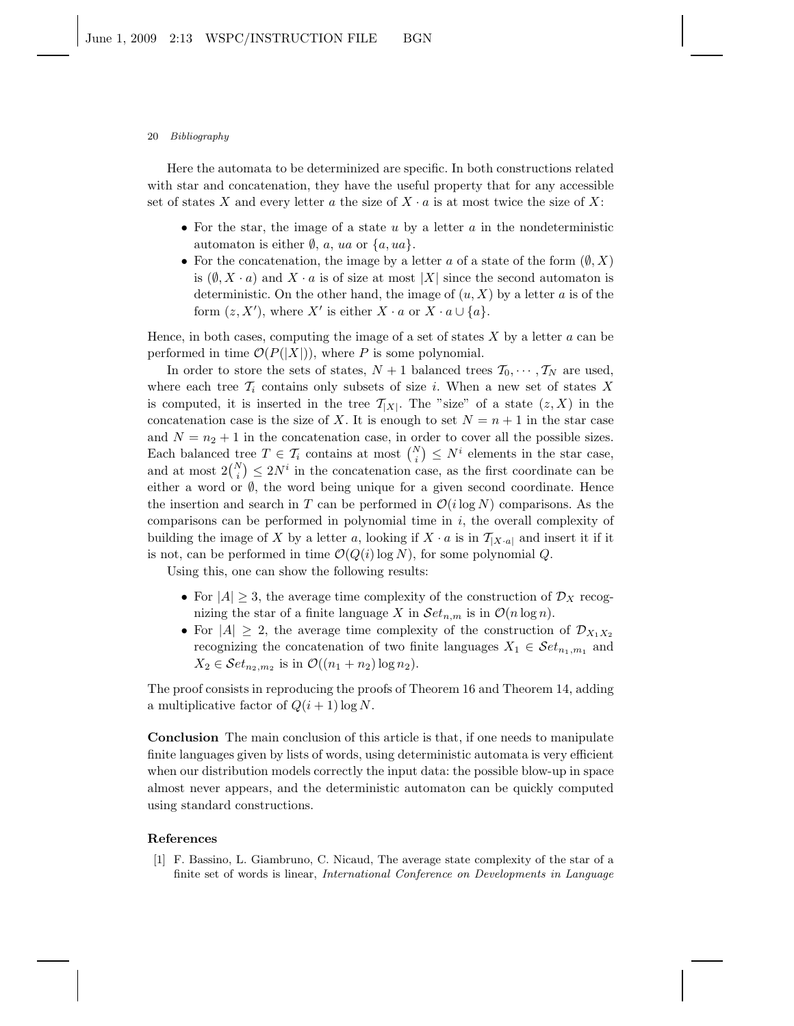#### 20 Bibliography

Here the automata to be determinized are specific. In both constructions related with star and concatenation, they have the useful property that for any accessible set of states X and every letter a the size of  $X \cdot a$  is at most twice the size of X:

- For the star, the image of a state  $u$  by a letter  $a$  in the nondeterministic automaton is either  $\emptyset$ , a, ua or  $\{a, ua\}$ .
- For the concatenation, the image by a letter a of a state of the form  $(\emptyset, X)$ is  $(\emptyset, X \cdot a)$  and  $X \cdot a$  is of size at most  $|X|$  since the second automaton is deterministic. On the other hand, the image of  $(u, X)$  by a letter a is of the form  $(z, X')$ , where X' is either  $X \cdot a$  or  $X \cdot a \cup \{a\}$ .

Hence, in both cases, computing the image of a set of states  $X$  by a letter  $a$  can be performed in time  $\mathcal{O}(P(|X|))$ , where P is some polynomial.

In order to store the sets of states,  $N + 1$  balanced trees  $\mathcal{T}_0, \cdots, \mathcal{T}_N$  are used, where each tree  $\mathcal{T}_i$  contains only subsets of size i. When a new set of states X is computed, it is inserted in the tree  $\mathcal{T}_{|X|}$ . The "size" of a state  $(z, X)$  in the concatenation case is the size of X. It is enough to set  $N = n + 1$  in the star case and  $N = n<sub>2</sub> + 1$  in the concatenation case, in order to cover all the possible sizes. Each balanced tree  $T \in \mathcal{T}_i$  contains at most  $\binom{N}{i} \leq N^i$  elements in the star case, and at most  $2\binom{N}{i} \leq 2N^i$  in the concatenation case, as the first coordinate can be either a word or  $\emptyset$ , the word being unique for a given second coordinate. Hence the insertion and search in T can be performed in  $\mathcal{O}(i \log N)$  comparisons. As the comparisons can be performed in polynomial time in  $i$ , the overall complexity of building the image of X by a letter a, looking if  $X \cdot a$  is in  $\mathcal{T}_{[X \cdot a]}$  and insert it if it is not, can be performed in time  $\mathcal{O}(Q(i) \log N)$ , for some polynomial Q.

Using this, one can show the following results:

- For  $|A| \geq 3$ , the average time complexity of the construction of  $\mathcal{D}_X$  recognizing the star of a finite language X in  $\mathcal{S}et_{n,m}$  is in  $\mathcal{O}(n \log n)$ .
- For  $|A| \geq 2$ , the average time complexity of the construction of  $\mathcal{D}_{X_1 X_2}$ recognizing the concatenation of two finite languages  $X_1 \in \mathcal{S}et_{n_1,m_1}$  and  $X_2 \in \mathcal{S}et_{n_2,m_2}$  is in  $\mathcal{O}((n_1+n_2)\log n_2)$ .

The proof consists in reproducing the proofs of Theorem 16 and Theorem 14, adding a multiplicative factor of  $Q(i + 1) \log N$ .

Conclusion The main conclusion of this article is that, if one needs to manipulate finite languages given by lists of words, using deterministic automata is very efficient when our distribution models correctly the input data: the possible blow-up in space almost never appears, and the deterministic automaton can be quickly computed using standard constructions.

#### References

[1] F. Bassino, L. Giambruno, C. Nicaud, The average state complexity of the star of a finite set of words is linear, *International Conference on Developments in Language*